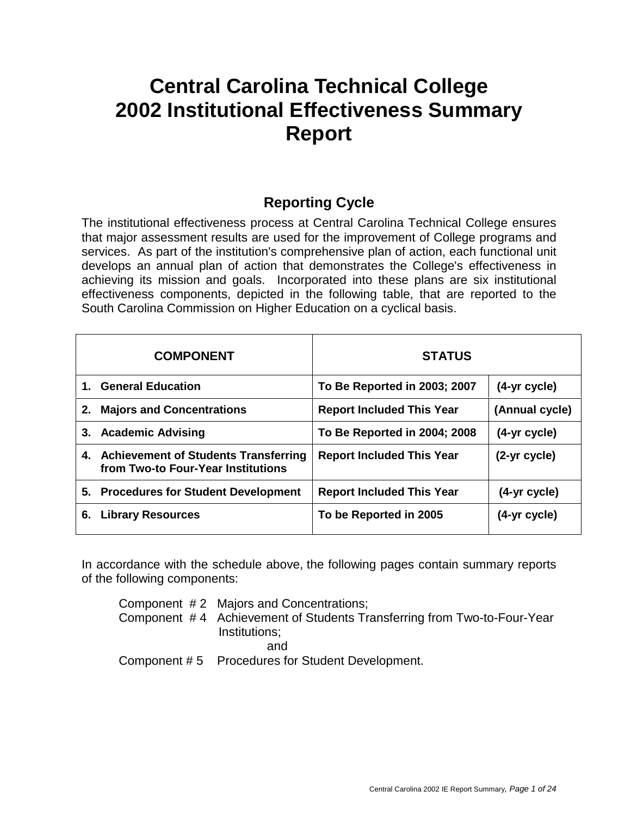# **Central Carolina Technical College 2002 Institutional Effectiveness Summary Report**

## **Reporting Cycle**

The institutional effectiveness process at Central Carolina Technical College ensures that major assessment results are used for the improvement of College programs and services. As part of the institution's comprehensive plan of action, each functional unit develops an annual plan of action that demonstrates the College's effectiveness in achieving its mission and goals. Incorporated into these plans are six institutional effectiveness components, depicted in the following table, that are reported to the South Carolina Commission on Higher Education on a cyclical basis.

|         | <b>COMPONENT</b>                                                              | <b>STATUS</b>                    |                |
|---------|-------------------------------------------------------------------------------|----------------------------------|----------------|
| $1_{-}$ | <b>General Education</b>                                                      | To Be Reported in 2003; 2007     | (4-yr cycle)   |
| 2.      | <b>Majors and Concentrations</b>                                              | <b>Report Included This Year</b> | (Annual cycle) |
|         | 3. Academic Advising                                                          | To Be Reported in 2004; 2008     | (4-yr cycle)   |
|         | 4. Achievement of Students Transferring<br>from Two-to Four-Year Institutions | <b>Report Included This Year</b> | (2-yr cycle)   |
|         | 5. Procedures for Student Development                                         | <b>Report Included This Year</b> | (4-yr cycle)   |
| 6.      | <b>Library Resources</b>                                                      | To be Reported in 2005           | (4-yr cycle)   |

In accordance with the schedule above, the following pages contain summary reports of the following components:

Component # 2 Majors and Concentrations; Component # 4 Achievement of Students Transferring from Two-to-Four-Year Institutions; and Component # 5 Procedures for Student Development.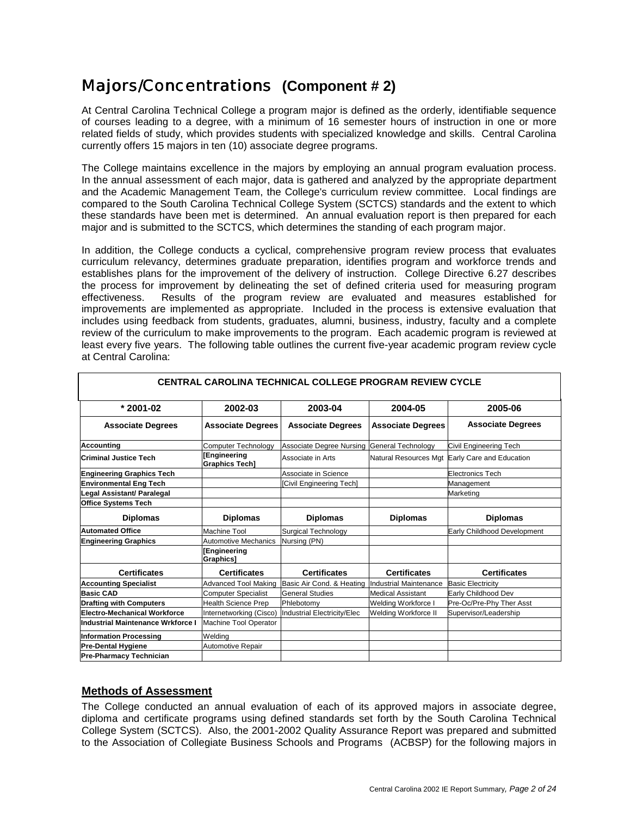## Majors/Concentrations **(Component # 2)**

At Central Carolina Technical College a program major is defined as the orderly, identifiable sequence of courses leading to a degree, with a minimum of 16 semester hours of instruction in one or more related fields of study, which provides students with specialized knowledge and skills. Central Carolina currently offers 15 majors in ten (10) associate degree programs.

The College maintains excellence in the majors by employing an annual program evaluation process. In the annual assessment of each major, data is gathered and analyzed by the appropriate department and the Academic Management Team, the College's curriculum review committee. Local findings are compared to the South Carolina Technical College System (SCTCS) standards and the extent to which these standards have been met is determined. An annual evaluation report is then prepared for each major and is submitted to the SCTCS, which determines the standing of each program major.

In addition, the College conducts a cyclical, comprehensive program review process that evaluates curriculum relevancy, determines graduate preparation, identifies program and workforce trends and establishes plans for the improvement of the delivery of instruction. College Directive 6.27 describes the process for improvement by delineating the set of defined criteria used for measuring program effectiveness. Results of the program review are evaluated and measures established for improvements are implemented as appropriate. Included in the process is extensive evaluation that includes using feedback from students, graduates, alumni, business, industry, faculty and a complete review of the curriculum to make improvements to the program. Each academic program is reviewed at least every five years. The following table outlines the current five-year academic program review cycle at Central Carolina:

| <u>UENTRAL UARULINA TEUMNUAL UULLEGE PRUGRAM REVIEW UTULE</u> |                                       |                                 |                              |                             |  |  |  |
|---------------------------------------------------------------|---------------------------------------|---------------------------------|------------------------------|-----------------------------|--|--|--|
| * 2001-02                                                     | 2002-03                               | 2003-04                         | 2004-05                      | 2005-06                     |  |  |  |
| <b>Associate Degrees</b>                                      | <b>Associate Degrees</b>              | <b>Associate Degrees</b>        | <b>Associate Degrees</b>     | <b>Associate Degrees</b>    |  |  |  |
| <b>Accounting</b>                                             | <b>Computer Technology</b>            | <b>Associate Degree Nursing</b> | General Technology           | Civil Engineering Tech      |  |  |  |
| <b>Criminal Justice Tech</b>                                  | [Engineering<br><b>Graphics Tech]</b> | Associate in Arts               | <b>Natural Resources Mgt</b> | Early Care and Education    |  |  |  |
| <b>Engineering Graphics Tech</b>                              |                                       | Associate in Science            |                              | <b>Electronics Tech</b>     |  |  |  |
| <b>Environmental Eng Tech</b>                                 |                                       | Civil Engineering Tech]         |                              | Management                  |  |  |  |
| Legal Assistant/ Paralegal                                    |                                       |                                 |                              | Marketing                   |  |  |  |
| <b>Office Systems Tech</b>                                    |                                       |                                 |                              |                             |  |  |  |
| <b>Diplomas</b>                                               | <b>Diplomas</b>                       | <b>Diplomas</b>                 | <b>Diplomas</b>              | <b>Diplomas</b>             |  |  |  |
| <b>Automated Office</b>                                       | <b>Machine Tool</b>                   | <b>Surgical Technology</b>      |                              | Early Childhood Development |  |  |  |
| <b>Engineering Graphics</b>                                   | <b>Automotive Mechanics</b>           | Nursing (PN)                    |                              |                             |  |  |  |
|                                                               | <b>[Engineering</b><br>Graphics]      |                                 |                              |                             |  |  |  |
| <b>Certificates</b>                                           | <b>Certificates</b>                   | <b>Certificates</b>             | <b>Certificates</b>          | <b>Certificates</b>         |  |  |  |
| <b>Accounting Specialist</b>                                  | <b>Advanced Tool Making</b>           | Basic Air Cond. & Heating       | Industrial Maintenance       | <b>Basic Electricity</b>    |  |  |  |
| <b>Basic CAD</b>                                              | <b>Computer Specialist</b>            | <b>General Studies</b>          | <b>Medical Assistant</b>     | Early Childhood Dev         |  |  |  |
| <b>Drafting with Computers</b>                                | <b>Health Science Prep</b>            | Phlebotomy                      | Welding Workforce I          | Pre-Oc/Pre-Phy Ther Asst    |  |  |  |
| <b>Electro-Mechanical Workforce</b>                           | Internetworking (Cisco)               | Industrial Electricity/Elec     | Welding Workforce II         | Supervisor/Leadership       |  |  |  |
| Industrial Maintenance Wrkforce I                             | <b>Machine Tool Operator</b>          |                                 |                              |                             |  |  |  |
| <b>Information Processing</b>                                 | Welding                               |                                 |                              |                             |  |  |  |
| <b>Pre-Dental Hygiene</b>                                     | Automotive Repair                     |                                 |                              |                             |  |  |  |
|                                                               |                                       |                                 |                              |                             |  |  |  |

### **CENTRAL CAROLINA TECHNICAL COLLEGE PROGRAM REVIEW CYCLE**

### **Methods of Assessment**

The College conducted an annual evaluation of each of its approved majors in associate degree, diploma and certificate programs using defined standards set forth by the South Carolina Technical College System (SCTCS). Also, the 2001-2002 Quality Assurance Report was prepared and submitted to the Association of Collegiate Business Schools and Programs (ACBSP) for the following majors in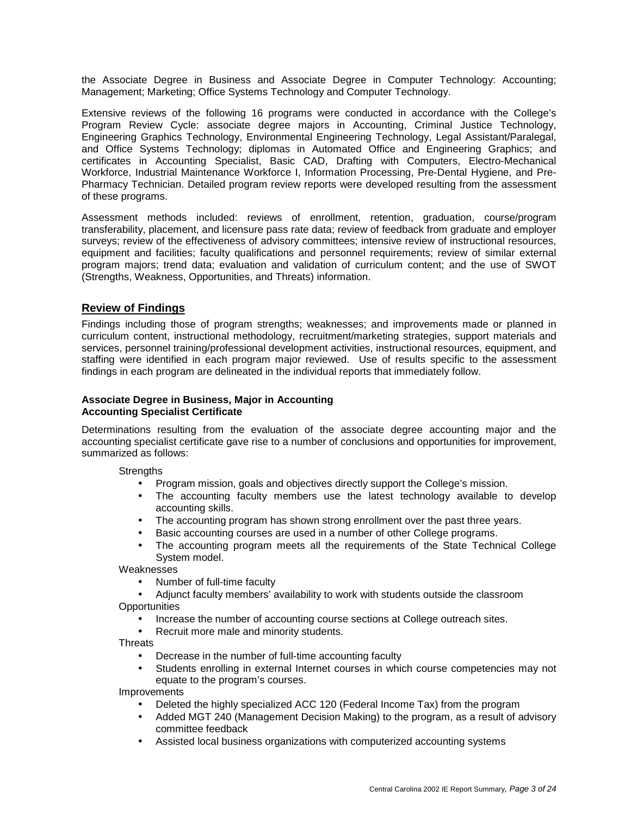the Associate Degree in Business and Associate Degree in Computer Technology: Accounting; Management; Marketing; Office Systems Technology and Computer Technology.

Extensive reviews of the following 16 programs were conducted in accordance with the College's Program Review Cycle: associate degree majors in Accounting, Criminal Justice Technology, Engineering Graphics Technology, Environmental Engineering Technology, Legal Assistant/Paralegal, and Office Systems Technology; diplomas in Automated Office and Engineering Graphics; and certificates in Accounting Specialist, Basic CAD, Drafting with Computers, Electro-Mechanical Workforce, Industrial Maintenance Workforce I, Information Processing, Pre-Dental Hygiene, and Pre-Pharmacy Technician. Detailed program review reports were developed resulting from the assessment of these programs.

Assessment methods included: reviews of enrollment, retention, graduation, course/program transferability, placement, and licensure pass rate data; review of feedback from graduate and employer surveys; review of the effectiveness of advisory committees; intensive review of instructional resources, equipment and facilities; faculty qualifications and personnel requirements; review of similar external program majors; trend data; evaluation and validation of curriculum content; and the use of SWOT (Strengths, Weakness, Opportunities, and Threats) information.

### **Review of Findings**

Findings including those of program strengths; weaknesses; and improvements made or planned in curriculum content, instructional methodology, recruitment/marketing strategies, support materials and services, personnel training/professional development activities, instructional resources, equipment, and staffing were identified in each program major reviewed. Use of results specific to the assessment findings in each program are delineated in the individual reports that immediately follow.

### **Associate Degree in Business, Major in Accounting Accounting Specialist Certificate**

Determinations resulting from the evaluation of the associate degree accounting major and the accounting specialist certificate gave rise to a number of conclusions and opportunities for improvement, summarized as follows:

**Strengths** 

- Program mission, goals and objectives directly support the College's mission.
- The accounting faculty members use the latest technology available to develop accounting skills.
- The accounting program has shown strong enrollment over the past three years.
- Basic accounting courses are used in a number of other College programs.
- The accounting program meets all the requirements of the State Technical College System model.

**Weaknesses** 

- Number of full-time faculty
- Adjunct faculty members' availability to work with students outside the classroom **Opportunities** 
	- Increase the number of accounting course sections at College outreach sites.
	- Recruit more male and minority students.

**Threats** 

- Decrease in the number of full-time accounting faculty
- Students enrolling in external Internet courses in which course competencies may not equate to the program's courses.

Improvements

- Deleted the highly specialized ACC 120 (Federal Income Tax) from the program
- Added MGT 240 (Management Decision Making) to the program, as a result of advisory committee feedback
- Assisted local business organizations with computerized accounting systems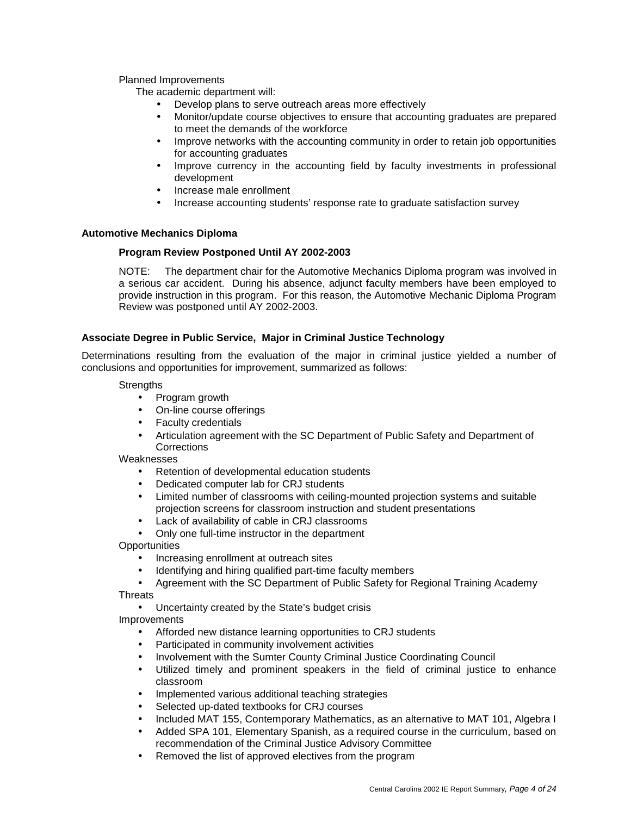### Planned Improvements

The academic department will:

- Develop plans to serve outreach areas more effectively
- Monitor/update course objectives to ensure that accounting graduates are prepared to meet the demands of the workforce
- Improve networks with the accounting community in order to retain job opportunities for accounting graduates
- Improve currency in the accounting field by faculty investments in professional development
- Increase male enrollment
- Increase accounting students' response rate to graduate satisfaction survey

### **Automotive Mechanics Diploma**

### **Program Review Postponed Until AY 2002-2003**

NOTE: The department chair for the Automotive Mechanics Diploma program was involved in a serious car accident. During his absence, adjunct faculty members have been employed to provide instruction in this program. For this reason, the Automotive Mechanic Diploma Program Review was postponed until AY 2002-2003.

### **Associate Degree in Public Service, Major in Criminal Justice Technology**

Determinations resulting from the evaluation of the major in criminal justice yielded a number of conclusions and opportunities for improvement, summarized as follows:

**Strengths** 

- Program growth
- On-line course offerings
- Faculty credentials
- Articulation agreement with the SC Department of Public Safety and Department of **Corrections**

Weaknesses

- Retention of developmental education students
- Dedicated computer lab for CRJ students
- Limited number of classrooms with ceiling-mounted projection systems and suitable projection screens for classroom instruction and student presentations
- Lack of availability of cable in CRJ classrooms
- Only one full-time instructor in the department

**Opportunities** 

- Increasing enrollment at outreach sites
- Identifying and hiring qualified part-time faculty members
- Agreement with the SC Department of Public Safety for Regional Training Academy

Threats

• Uncertainty created by the State's budget crisis

Improvements

- Afforded new distance learning opportunities to CRJ students
- Participated in community involvement activities
- Involvement with the Sumter County Criminal Justice Coordinating Council
- Utilized timely and prominent speakers in the field of criminal justice to enhance classroom
- Implemented various additional teaching strategies
- Selected up-dated textbooks for CRJ courses
- Included MAT 155, Contemporary Mathematics, as an alternative to MAT 101, Algebra I
- Added SPA 101, Elementary Spanish, as a required course in the curriculum, based on recommendation of the Criminal Justice Advisory Committee
- Removed the list of approved electives from the program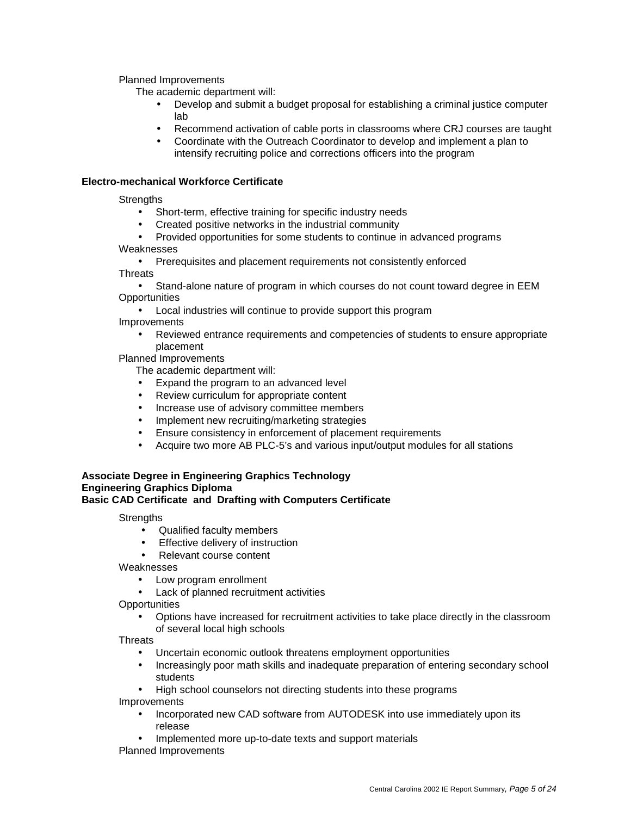Planned Improvements

The academic department will:

- Develop and submit a budget proposal for establishing a criminal justice computer lab
- Recommend activation of cable ports in classrooms where CRJ courses are taught
- Coordinate with the Outreach Coordinator to develop and implement a plan to intensify recruiting police and corrections officers into the program

### **Electro-mechanical Workforce Certificate**

**Strengths** 

- Short-term, effective training for specific industry needs
- Created positive networks in the industrial community
- Provided opportunities for some students to continue in advanced programs

Weaknesses

• Prerequisites and placement requirements not consistently enforced

**Threats** 

• Stand-alone nature of program in which courses do not count toward degree in EEM **Opportunities** 

• Local industries will continue to provide support this program

Improvements

• Reviewed entrance requirements and competencies of students to ensure appropriate placement

Planned Improvements

The academic department will:

- Expand the program to an advanced level
- Review curriculum for appropriate content
- Increase use of advisory committee members
- Implement new recruiting/marketing strategies
- Ensure consistency in enforcement of placement requirements
- Acquire two more AB PLC-5's and various input/output modules for all stations

#### **Associate Degree in Engineering Graphics Technology Engineering Graphics Diploma Basic CAD Certificate and Drafting with Computers Certificate**

**Strengths** 

- Qualified faculty members
- Effective delivery of instruction
- Relevant course content

Weaknesses

- Low program enrollment
- Lack of planned recruitment activities

**Opportunities** 

• Options have increased for recruitment activities to take place directly in the classroom of several local high schools

**Threats** 

- Uncertain economic outlook threatens employment opportunities
- Increasingly poor math skills and inadequate preparation of entering secondary school students
- High school counselors not directing students into these programs

Improvements

- Incorporated new CAD software from AUTODESK into use immediately upon its release
- Implemented more up-to-date texts and support materials

Planned Improvements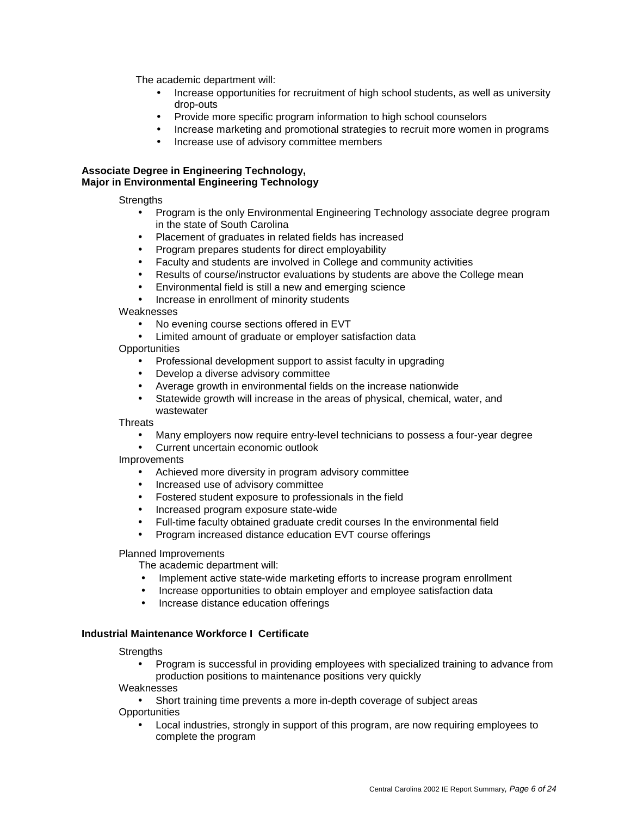The academic department will:

- Increase opportunities for recruitment of high school students, as well as university drop-outs
- Provide more specific program information to high school counselors
- Increase marketing and promotional strategies to recruit more women in programs
- Increase use of advisory committee members

### **Associate Degree in Engineering Technology, Major in Environmental Engineering Technology**

**Strengths** 

- Program is the only Environmental Engineering Technology associate degree program in the state of South Carolina
- Placement of graduates in related fields has increased
- Program prepares students for direct employability
- Faculty and students are involved in College and community activities
- Results of course/instructor evaluations by students are above the College mean
- Environmental field is still a new and emerging science
- Increase in enrollment of minority students

Weaknesses

- No evening course sections offered in EVT
- Limited amount of graduate or employer satisfaction data

**Opportunities** 

- Professional development support to assist faculty in upgrading
- Develop a diverse advisory committee
- Average growth in environmental fields on the increase nationwide
- Statewide growth will increase in the areas of physical, chemical, water, and wastewater

**Threats** 

- Many employers now require entry-level technicians to possess a four-year degree
- Current uncertain economic outlook

Improvements

- Achieved more diversity in program advisory committee
- Increased use of advisory committee
- Fostered student exposure to professionals in the field
- Increased program exposure state-wide
- Full-time faculty obtained graduate credit courses In the environmental field
- Program increased distance education EVT course offerings

Planned Improvements

The academic department will:

- Implement active state-wide marketing efforts to increase program enrollment
- Increase opportunities to obtain employer and employee satisfaction data
- Increase distance education offerings

### **Industrial Maintenance Workforce I Certificate**

**Strengths** 

• Program is successful in providing employees with specialized training to advance from production positions to maintenance positions very quickly

Weaknesses

• Short training time prevents a more in-depth coverage of subject areas

**Opportunities** 

• Local industries, strongly in support of this program, are now requiring employees to complete the program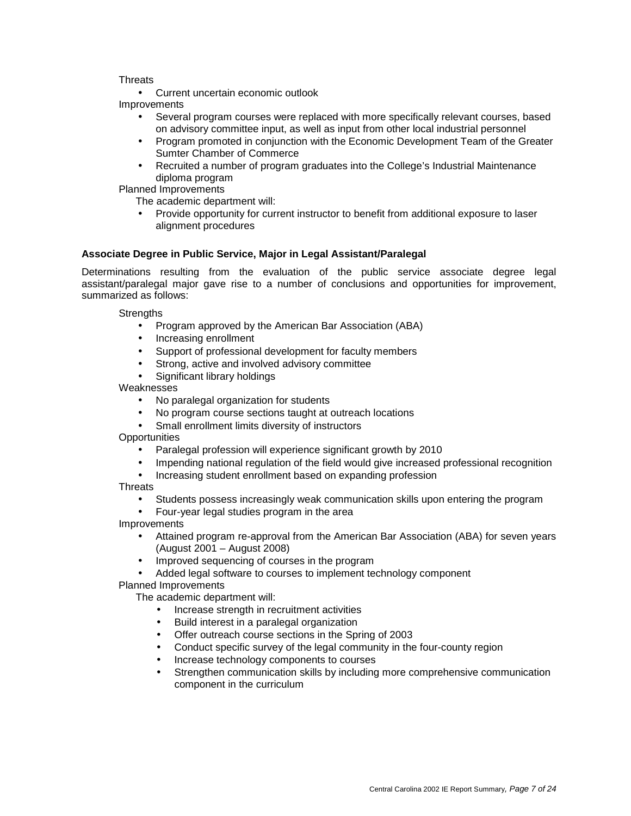### **Threats**

• Current uncertain economic outlook Improvements

- Several program courses were replaced with more specifically relevant courses, based on advisory committee input, as well as input from other local industrial personnel
- Program promoted in conjunction with the Economic Development Team of the Greater Sumter Chamber of Commerce
- Recruited a number of program graduates into the College's Industrial Maintenance diploma program

Planned Improvements

The academic department will:

• Provide opportunity for current instructor to benefit from additional exposure to laser alignment procedures

### **Associate Degree in Public Service, Major in Legal Assistant/Paralegal**

Determinations resulting from the evaluation of the public service associate degree legal assistant/paralegal major gave rise to a number of conclusions and opportunities for improvement, summarized as follows:

**Strengths** 

- Program approved by the American Bar Association (ABA)
- Increasing enrollment
- Support of professional development for faculty members
- Strong, active and involved advisory committee
- Significant library holdings

Weaknesses

- No paralegal organization for students
- No program course sections taught at outreach locations
- Small enrollment limits diversity of instructors

**Opportunities** 

- Paralegal profession will experience significant growth by 2010
- Impending national regulation of the field would give increased professional recognition
- Increasing student enrollment based on expanding profession

**Threats** 

- Students possess increasingly weak communication skills upon entering the program
- Four-year legal studies program in the area

Improvements

- Attained program re-approval from the American Bar Association (ABA) for seven years (August 2001 – August 2008)
- Improved sequencing of courses in the program
- Added legal software to courses to implement technology component
- Planned Improvements

The academic department will:

- Increase strength in recruitment activities
- Build interest in a paralegal organization
- Offer outreach course sections in the Spring of 2003
- Conduct specific survey of the legal community in the four-county region
- Increase technology components to courses
- Strengthen communication skills by including more comprehensive communication component in the curriculum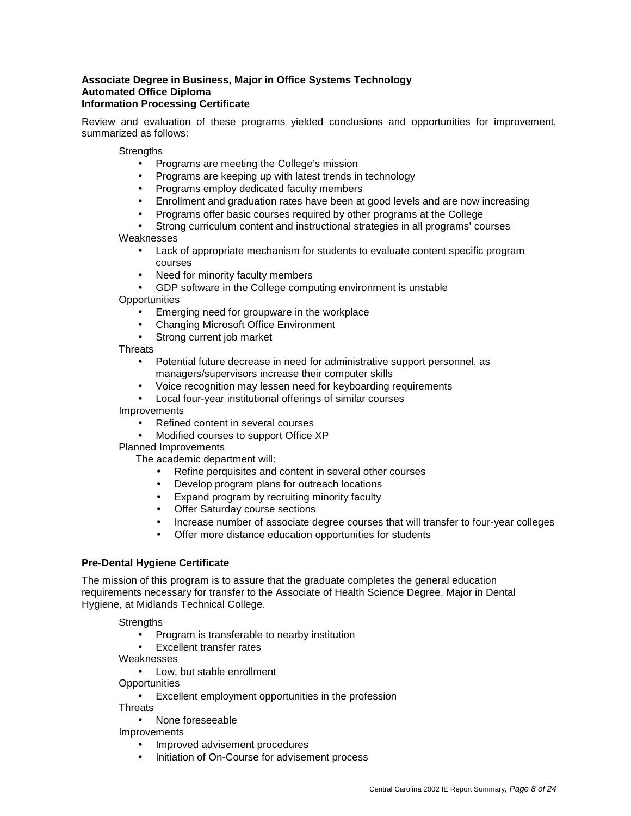### **Associate Degree in Business, Major in Office Systems Technology Automated Office Diploma Information Processing Certificate**

Review and evaluation of these programs yielded conclusions and opportunities for improvement, summarized as follows:

**Strengths** 

- Programs are meeting the College's mission
- Programs are keeping up with latest trends in technology
- Programs employ dedicated faculty members
- Enrollment and graduation rates have been at good levels and are now increasing
- Programs offer basic courses required by other programs at the College

### Strong curriculum content and instructional strategies in all programs' courses Weaknesses

- Lack of appropriate mechanism for students to evaluate content specific program courses
- Need for minority faculty members
- GDP software in the College computing environment is unstable

**Opportunities** 

- Emerging need for groupware in the workplace
- Changing Microsoft Office Environment
- Strong current job market

**Threats** 

- Potential future decrease in need for administrative support personnel, as managers/supervisors increase their computer skills
- Voice recognition may lessen need for keyboarding requirements
- Local four-year institutional offerings of similar courses

Improvements

- Refined content in several courses
- Modified courses to support Office XP

Planned Improvements

The academic department will:

- Refine perquisites and content in several other courses
- Develop program plans for outreach locations
- Expand program by recruiting minority faculty
- **Offer Saturday course sections**
- Increase number of associate degree courses that will transfer to four-year colleges
- Offer more distance education opportunities for students

### **Pre-Dental Hygiene Certificate**

The mission of this program is to assure that the graduate completes the general education requirements necessary for transfer to the Associate of Health Science Degree, Major in Dental Hygiene, at Midlands Technical College.

### **Strengths**

- Program is transferable to nearby institution
- Excellent transfer rates

Weaknesses

• Low, but stable enrollment

**Opportunities** 

• Excellent employment opportunities in the profession

**Threats** 

• None foreseeable

Improvements

- Improved advisement procedures
- Initiation of On-Course for advisement process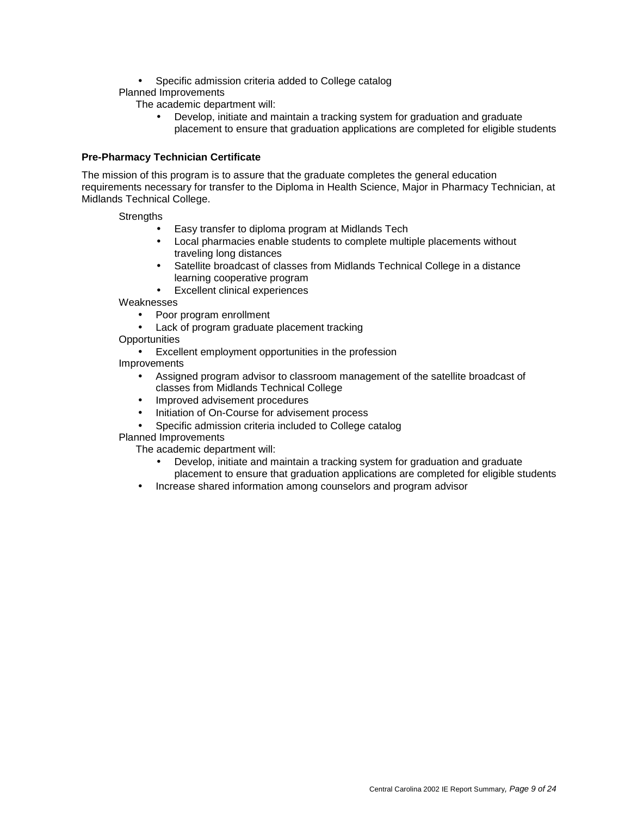- Specific admission criteria added to College catalog
- Planned Improvements
	- The academic department will:
		- Develop, initiate and maintain a tracking system for graduation and graduate placement to ensure that graduation applications are completed for eligible students

### **Pre-Pharmacy Technician Certificate**

The mission of this program is to assure that the graduate completes the general education requirements necessary for transfer to the Diploma in Health Science, Major in Pharmacy Technician, at Midlands Technical College.

### **Strengths**

- Easy transfer to diploma program at Midlands Tech
- Local pharmacies enable students to complete multiple placements without traveling long distances
- Satellite broadcast of classes from Midlands Technical College in a distance learning cooperative program
- Excellent clinical experiences

Weaknesses

- Poor program enrollment
- Lack of program graduate placement tracking
- **Opportunities**

• Excellent employment opportunities in the profession Improvements

- Assigned program advisor to classroom management of the satellite broadcast of classes from Midlands Technical College
- Improved advisement procedures
- Initiation of On-Course for advisement process
- Specific admission criteria included to College catalog

### Planned Improvements

The academic department will:

- Develop, initiate and maintain a tracking system for graduation and graduate
- placement to ensure that graduation applications are completed for eligible students
- Increase shared information among counselors and program advisor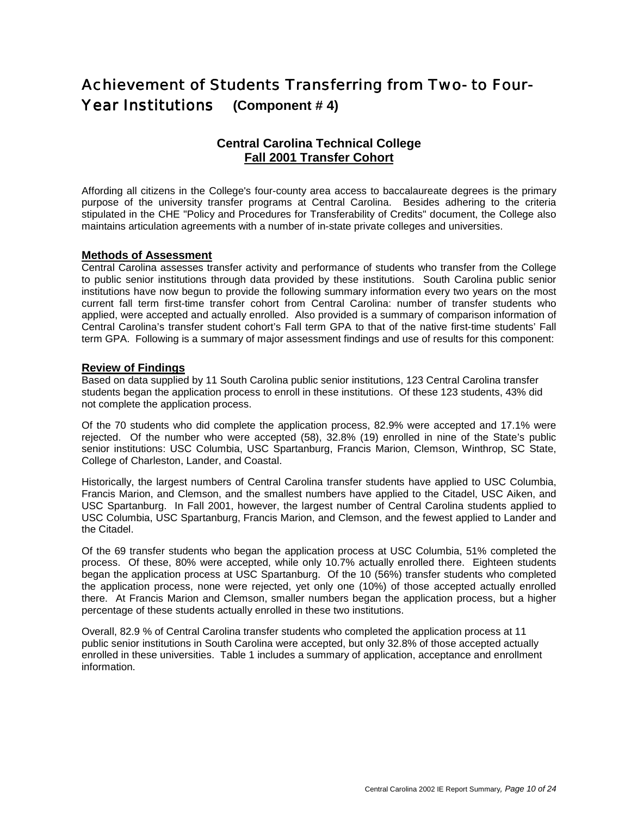## Achievement of Students Transferring from Two- to Four-Year Institutions **(Component # 4)**

## **Central Carolina Technical College Fall 2001 Transfer Cohort**

Affording all citizens in the College's four-county area access to baccalaureate degrees is the primary purpose of the university transfer programs at Central Carolina. Besides adhering to the criteria stipulated in the CHE "Policy and Procedures for Transferability of Credits" document, the College also maintains articulation agreements with a number of in-state private colleges and universities.

### **Methods of Assessment**

Central Carolina assesses transfer activity and performance of students who transfer from the College to public senior institutions through data provided by these institutions. South Carolina public senior institutions have now begun to provide the following summary information every two years on the most current fall term first-time transfer cohort from Central Carolina: number of transfer students who applied, were accepted and actually enrolled. Also provided is a summary of comparison information of Central Carolina's transfer student cohort's Fall term GPA to that of the native first-time students' Fall term GPA. Following is a summary of major assessment findings and use of results for this component:

### **Review of Findings**

Based on data supplied by 11 South Carolina public senior institutions, 123 Central Carolina transfer students began the application process to enroll in these institutions. Of these 123 students, 43% did not complete the application process.

Of the 70 students who did complete the application process, 82.9% were accepted and 17.1% were rejected. Of the number who were accepted (58), 32.8% (19) enrolled in nine of the State's public senior institutions: USC Columbia, USC Spartanburg, Francis Marion, Clemson, Winthrop, SC State, College of Charleston, Lander, and Coastal.

Historically, the largest numbers of Central Carolina transfer students have applied to USC Columbia, Francis Marion, and Clemson, and the smallest numbers have applied to the Citadel, USC Aiken, and USC Spartanburg. In Fall 2001, however, the largest number of Central Carolina students applied to USC Columbia, USC Spartanburg, Francis Marion, and Clemson, and the fewest applied to Lander and the Citadel.

Of the 69 transfer students who began the application process at USC Columbia, 51% completed the process. Of these, 80% were accepted, while only 10.7% actually enrolled there. Eighteen students began the application process at USC Spartanburg. Of the 10 (56%) transfer students who completed the application process, none were rejected, yet only one (10%) of those accepted actually enrolled there. At Francis Marion and Clemson, smaller numbers began the application process, but a higher percentage of these students actually enrolled in these two institutions.

Overall, 82.9 % of Central Carolina transfer students who completed the application process at 11 public senior institutions in South Carolina were accepted, but only 32.8% of those accepted actually enrolled in these universities. Table 1 includes a summary of application, acceptance and enrollment information.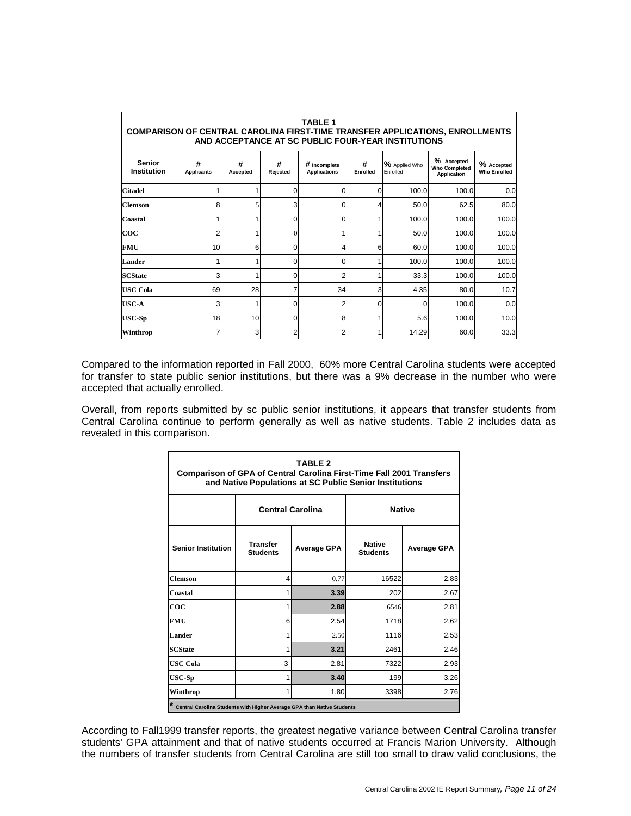| <b>TABLE 1</b><br><b>COMPARISON OF CENTRAL CAROLINA FIRST-TIME TRANSFER APPLICATIONS, ENROLLMENTS</b><br>AND ACCEPTANCE AT SC PUBLIC FOUR-YEAR INSTITUTIONS                                                                                                                    |    |    |          |                |   |       |       |       |  |  |
|--------------------------------------------------------------------------------------------------------------------------------------------------------------------------------------------------------------------------------------------------------------------------------|----|----|----------|----------------|---|-------|-------|-------|--|--|
| % Accepted<br><b>Senior</b><br>#<br>#<br>#<br>#<br>% Applied Who<br>% Accepted<br># Incomplete<br><b>Who Completed</b><br>Institution<br><b>Who Enrolled</b><br><b>Applicants</b><br><b>Applications</b><br>Rejected<br>Enrolled<br>Enrolled<br>Accepted<br><b>Application</b> |    |    |          |                |   |       |       |       |  |  |
| <b>Citadel</b>                                                                                                                                                                                                                                                                 |    |    |          | 0              | O | 100.0 | 100.0 | 0.0   |  |  |
| <b>Clemson</b>                                                                                                                                                                                                                                                                 | 8  |    | 3        | 0              |   | 50.0  | 62.5  | 80.0  |  |  |
| Coastal                                                                                                                                                                                                                                                                        |    |    | O        | 0              |   | 100.0 | 100.0 | 100.0 |  |  |
| $\bf{co}$                                                                                                                                                                                                                                                                      | 2  |    |          |                |   | 50.0  | 100.0 | 100.0 |  |  |
| <b>FMU</b>                                                                                                                                                                                                                                                                     | 10 | 6  | $\Omega$ | 4              | 6 | 60.0  | 100.0 | 100.0 |  |  |
| Lander                                                                                                                                                                                                                                                                         |    |    |          | 0              |   | 100.0 | 100.0 | 100.0 |  |  |
| <b>SCState</b>                                                                                                                                                                                                                                                                 | 3  |    | 0        | $\overline{2}$ |   | 33.3  | 100.0 | 100.0 |  |  |
| <b>USC Cola</b>                                                                                                                                                                                                                                                                | 69 | 28 | 7        | 34             | 3 | 4.35  | 80.0  | 10.7  |  |  |
| USC-A                                                                                                                                                                                                                                                                          | 3  |    | ი        | 2              |   | 0     | 100.0 | 0.0   |  |  |
| $USC-Sp$                                                                                                                                                                                                                                                                       | 18 | 10 | $\Omega$ | 8              |   | 5.6   | 100.0 | 10.0  |  |  |
| Winthrop                                                                                                                                                                                                                                                                       |    | 3  | 2        | 2              |   | 14.29 | 60.0  | 33.3  |  |  |

Compared to the information reported in Fall 2000, 60% more Central Carolina students were accepted for transfer to state public senior institutions, but there was a 9% decrease in the number who were accepted that actually enrolled.

Overall, from reports submitted by sc public senior institutions, it appears that transfer students from Central Carolina continue to perform generally as well as native students. Table 2 includes data as revealed in this comparison.

| <b>TABLE 2</b><br><b>Comparison of GPA of Central Carolina First-Time Fall 2001 Transfers</b><br>and Native Populations at SC Public Senior Institutions |                                          |                    |                                  |                    |  |  |  |  |  |  |
|----------------------------------------------------------------------------------------------------------------------------------------------------------|------------------------------------------|--------------------|----------------------------------|--------------------|--|--|--|--|--|--|
|                                                                                                                                                          | <b>Native</b><br><b>Central Carolina</b> |                    |                                  |                    |  |  |  |  |  |  |
| <b>Senior Institution</b>                                                                                                                                | <b>Transfer</b><br><b>Students</b>       | <b>Average GPA</b> | <b>Native</b><br><b>Students</b> | <b>Average GPA</b> |  |  |  |  |  |  |
| <b>Clemson</b>                                                                                                                                           | 4                                        | 0.77               | 16522                            | 2.83               |  |  |  |  |  |  |
| Coastal                                                                                                                                                  | 1                                        | 3.39               | 202                              | 2.67               |  |  |  |  |  |  |
| $\bf{co}$                                                                                                                                                | 1                                        | 2.88               | 6546                             | 2.81               |  |  |  |  |  |  |
| <b>FMU</b>                                                                                                                                               | 6                                        | 2.54               | 1718                             | 2.62               |  |  |  |  |  |  |
| <b>Lander</b>                                                                                                                                            | 1                                        | 2.50               | 1116                             | 2.53               |  |  |  |  |  |  |
| <b>SCState</b>                                                                                                                                           | 1                                        | 3.21               | 2461                             | 2.46               |  |  |  |  |  |  |
| <b>USC Cola</b>                                                                                                                                          | 3                                        | 2.81               | 7322                             | 2.93               |  |  |  |  |  |  |
| <b>USC-Sp</b>                                                                                                                                            | 1                                        | 3.40               | 199                              | 3.26               |  |  |  |  |  |  |
| Winthrop                                                                                                                                                 | 1                                        | 1.80               | 3398                             | 2.76               |  |  |  |  |  |  |
| * Central Carolina Students with Higher Average GPA than Native Students                                                                                 |                                          |                    |                                  |                    |  |  |  |  |  |  |

According to Fall1999 transfer reports, the greatest negative variance between Central Carolina transfer students' GPA attainment and that of native students occurred at Francis Marion University. Although the numbers of transfer students from Central Carolina are still too small to draw valid conclusions, the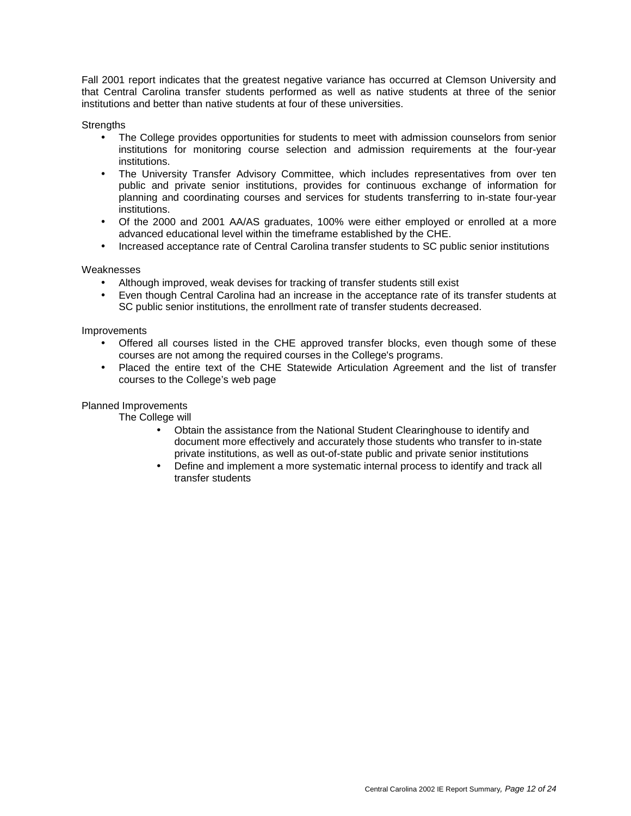Fall 2001 report indicates that the greatest negative variance has occurred at Clemson University and that Central Carolina transfer students performed as well as native students at three of the senior institutions and better than native students at four of these universities.

**Strengths** 

- The College provides opportunities for students to meet with admission counselors from senior institutions for monitoring course selection and admission requirements at the four-year institutions.
- The University Transfer Advisory Committee, which includes representatives from over ten public and private senior institutions, provides for continuous exchange of information for planning and coordinating courses and services for students transferring to in-state four-year institutions.
- Of the 2000 and 2001 AA/AS graduates, 100% were either employed or enrolled at a more advanced educational level within the timeframe established by the CHE.
- Increased acceptance rate of Central Carolina transfer students to SC public senior institutions

### **Weaknesses**

- Although improved, weak devises for tracking of transfer students still exist
- Even though Central Carolina had an increase in the acceptance rate of its transfer students at SC public senior institutions, the enrollment rate of transfer students decreased.

#### Improvements

- Offered all courses listed in the CHE approved transfer blocks, even though some of these courses are not among the required courses in the College's programs.
- Placed the entire text of the CHE Statewide Articulation Agreement and the list of transfer courses to the College's web page

#### Planned Improvements

The College will

- Obtain the assistance from the National Student Clearinghouse to identify and document more effectively and accurately those students who transfer to in-state private institutions, as well as out-of-state public and private senior institutions
- Define and implement a more systematic internal process to identify and track all transfer students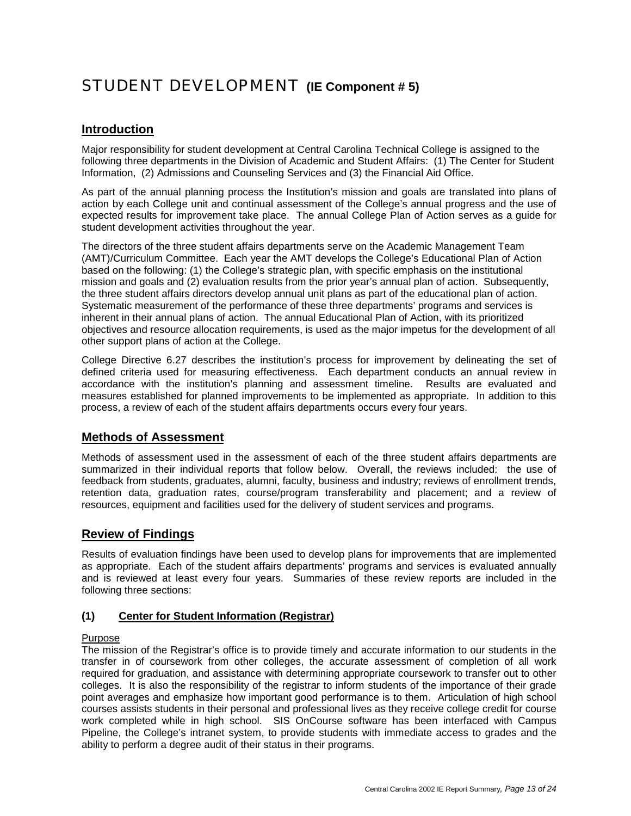## STUDENT DEVELOPMENT **(IE Component # 5)**

## **Introduction**

Major responsibility for student development at Central Carolina Technical College is assigned to the following three departments in the Division of Academic and Student Affairs: (1) The Center for Student Information, (2) Admissions and Counseling Services and (3) the Financial Aid Office.

As part of the annual planning process the Institution's mission and goals are translated into plans of action by each College unit and continual assessment of the College's annual progress and the use of expected results for improvement take place. The annual College Plan of Action serves as a guide for student development activities throughout the year.

The directors of the three student affairs departments serve on the Academic Management Team (AMT)/Curriculum Committee. Each year the AMT develops the College's Educational Plan of Action based on the following: (1) the College's strategic plan, with specific emphasis on the institutional mission and goals and (2) evaluation results from the prior year's annual plan of action. Subsequently, the three student affairs directors develop annual unit plans as part of the educational plan of action. Systematic measurement of the performance of these three departments' programs and services is inherent in their annual plans of action. The annual Educational Plan of Action, with its prioritized objectives and resource allocation requirements, is used as the major impetus for the development of all other support plans of action at the College.

College Directive 6.27 describes the institution's process for improvement by delineating the set of defined criteria used for measuring effectiveness. Each department conducts an annual review in accordance with the institution's planning and assessment timeline. Results are evaluated and measures established for planned improvements to be implemented as appropriate. In addition to this process, a review of each of the student affairs departments occurs every four years.

## **Methods of Assessment**

Methods of assessment used in the assessment of each of the three student affairs departments are summarized in their individual reports that follow below. Overall, the reviews included: the use of feedback from students, graduates, alumni, faculty, business and industry; reviews of enrollment trends, retention data, graduation rates, course/program transferability and placement; and a review of resources, equipment and facilities used for the delivery of student services and programs.

## **Review of Findings**

Results of evaluation findings have been used to develop plans for improvements that are implemented as appropriate. Each of the student affairs departments' programs and services is evaluated annually and is reviewed at least every four years. Summaries of these review reports are included in the following three sections:

### **(1) Center for Student Information (Registrar)**

### Purpose

The mission of the Registrar's office is to provide timely and accurate information to our students in the transfer in of coursework from other colleges, the accurate assessment of completion of all work required for graduation, and assistance with determining appropriate coursework to transfer out to other colleges. It is also the responsibility of the registrar to inform students of the importance of their grade point averages and emphasize how important good performance is to them. Articulation of high school courses assists students in their personal and professional lives as they receive college credit for course work completed while in high school. SIS OnCourse software has been interfaced with Campus Pipeline, the College's intranet system, to provide students with immediate access to grades and the ability to perform a degree audit of their status in their programs.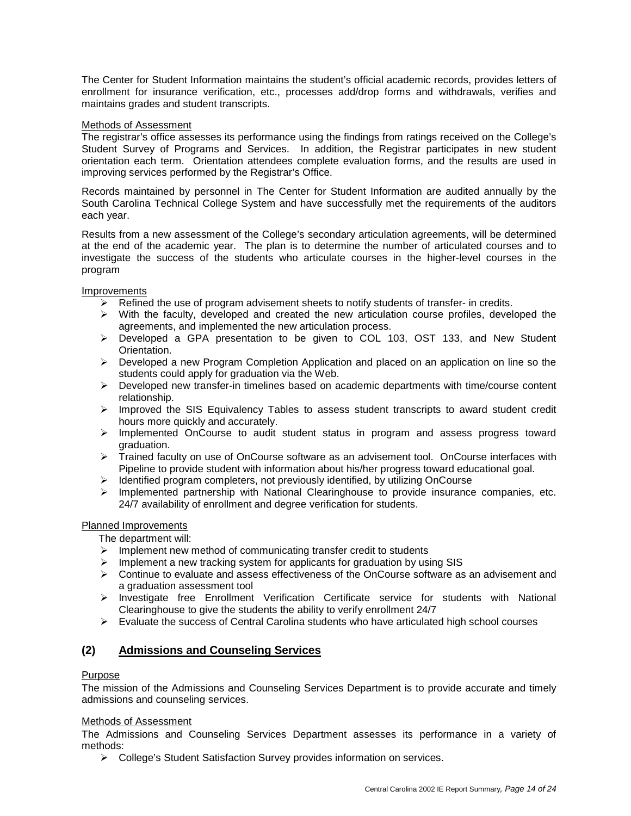The Center for Student Information maintains the student's official academic records, provides letters of enrollment for insurance verification, etc., processes add/drop forms and withdrawals, verifies and maintains grades and student transcripts.

### Methods of Assessment

The registrar's office assesses its performance using the findings from ratings received on the College's Student Survey of Programs and Services. In addition, the Registrar participates in new student orientation each term. Orientation attendees complete evaluation forms, and the results are used in improving services performed by the Registrar's Office.

Records maintained by personnel in The Center for Student Information are audited annually by the South Carolina Technical College System and have successfully met the requirements of the auditors each year.

Results from a new assessment of the College's secondary articulation agreements, will be determined at the end of the academic year. The plan is to determine the number of articulated courses and to investigate the success of the students who articulate courses in the higher-level courses in the program

### Improvements

- $\triangleright$  Refined the use of program advisement sheets to notify students of transfer- in credits.
- $\triangleright$  With the faculty, developed and created the new articulation course profiles, developed the agreements, and implemented the new articulation process.
- $\triangleright$  Developed a GPA presentation to be given to COL 103, OST 133, and New Student Orientation.
- $\triangleright$  Developed a new Program Completion Application and placed on an application on line so the students could apply for graduation via the Web.
- $\triangleright$  Developed new transfer-in timelines based on academic departments with time/course content relationship.
- $\triangleright$  Improved the SIS Equivalency Tables to assess student transcripts to award student credit hours more quickly and accurately.
- $\triangleright$  Implemented OnCourse to audit student status in program and assess progress toward graduation.
- Trained faculty on use of OnCourse software as an advisement tool. OnCourse interfaces with Pipeline to provide student with information about his/her progress toward educational goal.
- $\triangleright$  Identified program completers, not previously identified, by utilizing OnCourse
- $\triangleright$  Implemented partnership with National Clearinghouse to provide insurance companies, etc. 24/7 availability of enrollment and degree verification for students.

### Planned Improvements

The department will:

- $\triangleright$  Implement new method of communicating transfer credit to students
- $\triangleright$  Implement a new tracking system for applicants for graduation by using SIS
- $\triangleright$  Continue to evaluate and assess effectiveness of the OnCourse software as an advisement and a graduation assessment tool
- $\triangleright$  Investigate free Enrollment Verification Certificate service for students with National Clearinghouse to give the students the ability to verify enrollment 24/7
- $\triangleright$  Evaluate the success of Central Carolina students who have articulated high school courses

### **(2) Admissions and Counseling Services**

### Purpose

The mission of the Admissions and Counseling Services Department is to provide accurate and timely admissions and counseling services.

### Methods of Assessment

The Admissions and Counseling Services Department assesses its performance in a variety of methods:

College's Student Satisfaction Survey provides information on services.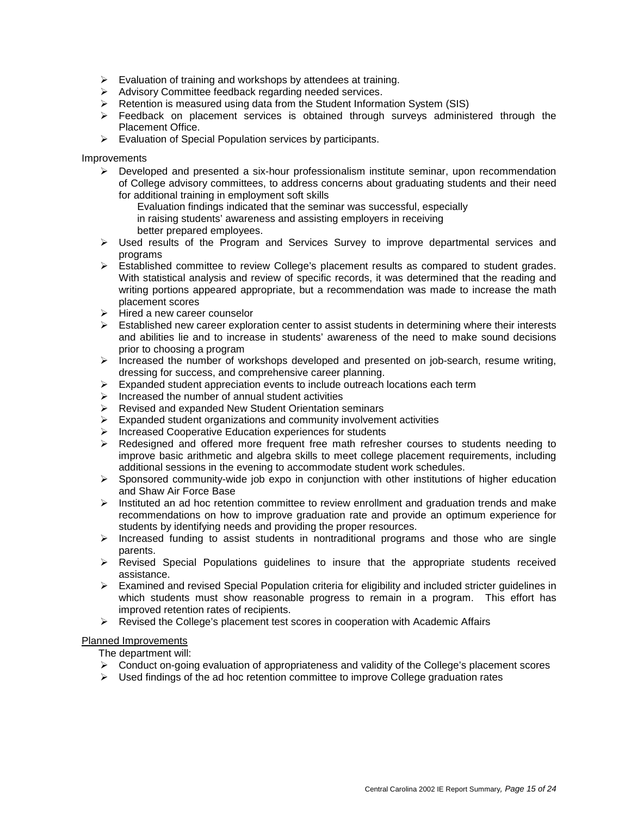- $\triangleright$  Evaluation of training and workshops by attendees at training.
- Advisory Committee feedback regarding needed services.
- $\triangleright$  Retention is measured using data from the Student Information System (SIS)
- $\triangleright$  Feedback on placement services is obtained through surveys administered through the Placement Office.
- $\triangleright$  Evaluation of Special Population services by participants.

### Improvements

- $\triangleright$  Developed and presented a six-hour professionalism institute seminar, upon recommendation of College advisory committees, to address concerns about graduating students and their need for additional training in employment soft skills
	- Evaluation findings indicated that the seminar was successful, especially
	- in raising students' awareness and assisting employers in receiving
	- better prepared employees.
- $\triangleright$  Used results of the Program and Services Survey to improve departmental services and programs
- Established committee to review College's placement results as compared to student grades. With statistical analysis and review of specific records, it was determined that the reading and writing portions appeared appropriate, but a recommendation was made to increase the math placement scores
- $\triangleright$  Hired a new career counselor
- $\triangleright$  Established new career exploration center to assist students in determining where their interests and abilities lie and to increase in students' awareness of the need to make sound decisions prior to choosing a program
- $\triangleright$  Increased the number of workshops developed and presented on job-search, resume writing, dressing for success, and comprehensive career planning.
- $\triangleright$  Expanded student appreciation events to include outreach locations each term
- Increased the number of annual student activities
- Revised and expanded New Student Orientation seminars
- $\triangleright$  Expanded student organizations and community involvement activities
- Increased Cooperative Education experiences for students
- Redesigned and offered more frequent free math refresher courses to students needing to improve basic arithmetic and algebra skills to meet college placement requirements, including additional sessions in the evening to accommodate student work schedules.
- $\triangleright$  Sponsored community-wide job expo in conjunction with other institutions of higher education and Shaw Air Force Base
- $\triangleright$  Instituted an ad hoc retention committee to review enrollment and graduation trends and make recommendations on how to improve graduation rate and provide an optimum experience for students by identifying needs and providing the proper resources.
- $\triangleright$  Increased funding to assist students in nontraditional programs and those who are single parents.
- $\triangleright$  Revised Special Populations quidelines to insure that the appropriate students received assistance.
- $\triangleright$  Examined and revised Special Population criteria for eligibility and included stricter guidelines in which students must show reasonable progress to remain in a program. This effort has improved retention rates of recipients.
- $\triangleright$  Revised the College's placement test scores in cooperation with Academic Affairs

### Planned Improvements

The department will:

- $\triangleright$  Conduct on-going evaluation of appropriateness and validity of the College's placement scores
- $\triangleright$  Used findings of the ad hoc retention committee to improve College graduation rates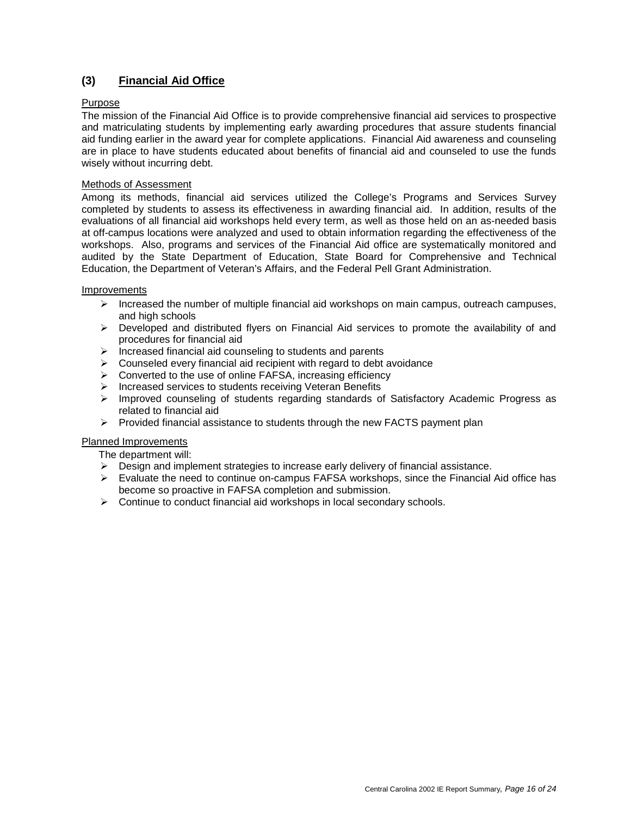## **(3) Financial Aid Office**

### Purpose

The mission of the Financial Aid Office is to provide comprehensive financial aid services to prospective and matriculating students by implementing early awarding procedures that assure students financial aid funding earlier in the award year for complete applications. Financial Aid awareness and counseling are in place to have students educated about benefits of financial aid and counseled to use the funds wisely without incurring debt.

### Methods of Assessment

Among its methods, financial aid services utilized the College's Programs and Services Survey completed by students to assess its effectiveness in awarding financial aid. In addition, results of the evaluations of all financial aid workshops held every term, as well as those held on an as-needed basis at off-campus locations were analyzed and used to obtain information regarding the effectiveness of the workshops. Also, programs and services of the Financial Aid office are systematically monitored and audited by the State Department of Education, State Board for Comprehensive and Technical Education, the Department of Veteran's Affairs, and the Federal Pell Grant Administration.

### Improvements

- $\triangleright$  Increased the number of multiple financial aid workshops on main campus, outreach campuses, and high schools
- $\triangleright$  Developed and distributed flyers on Financial Aid services to promote the availability of and procedures for financial aid
- $\triangleright$  Increased financial aid counseling to students and parents
- $\triangleright$  Counseled every financial aid recipient with regard to debt avoidance
- Converted to the use of online FAFSA, increasing efficiency
- Increased services to students receiving Veteran Benefits
- $\triangleright$  Improved counseling of students regarding standards of Satisfactory Academic Progress as related to financial aid
- $\triangleright$  Provided financial assistance to students through the new FACTS payment plan

### Planned Improvements

- The department will:
- $\triangleright$  Design and implement strategies to increase early delivery of financial assistance.
- $\triangleright$  Evaluate the need to continue on-campus FAFSA workshops, since the Financial Aid office has become so proactive in FAFSA completion and submission.
- ▶ Continue to conduct financial aid workshops in local secondary schools.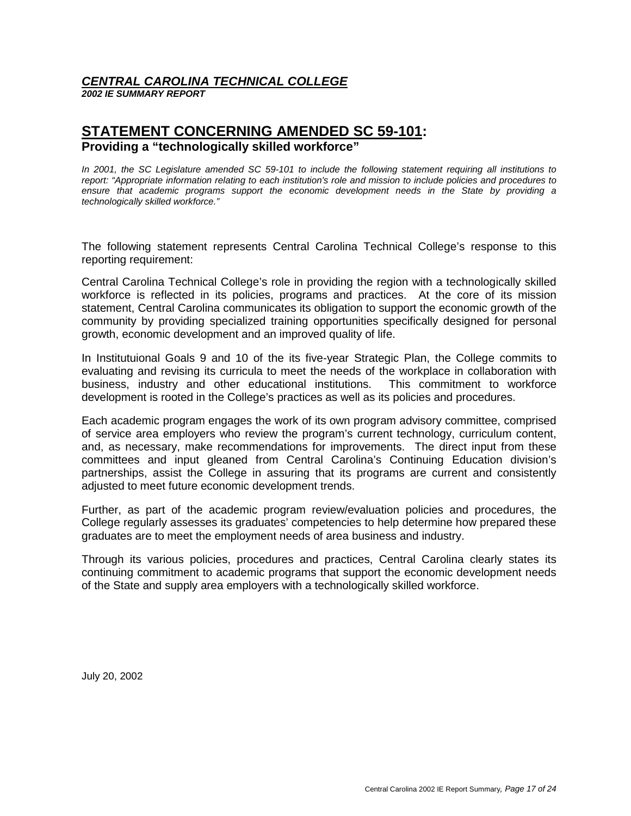## *CENTRAL CAROLINA TECHNICAL COLLEGE*

*2002 IE SUMMARY REPORT* 

## **STATEMENT CONCERNING AMENDED SC 59-101: Providing a "technologically skilled workforce"**

*In 2001, the SC Legislature amended SC 59-101 to include the following statement requiring all institutions to report: "Appropriate information relating to each institution's role and mission to include policies and procedures to ensure that academic programs support the economic development needs in the State by providing a technologically skilled workforce."* 

The following statement represents Central Carolina Technical College's response to this reporting requirement:

Central Carolina Technical College's role in providing the region with a technologically skilled workforce is reflected in its policies, programs and practices. At the core of its mission statement, Central Carolina communicates its obligation to support the economic growth of the community by providing specialized training opportunities specifically designed for personal growth, economic development and an improved quality of life.

In Institutuional Goals 9 and 10 of the its five-year Strategic Plan, the College commits to evaluating and revising its curricula to meet the needs of the workplace in collaboration with business, industry and other educational institutions. This commitment to workforce development is rooted in the College's practices as well as its policies and procedures.

Each academic program engages the work of its own program advisory committee, comprised of service area employers who review the program's current technology, curriculum content, and, as necessary, make recommendations for improvements. The direct input from these committees and input gleaned from Central Carolina's Continuing Education division's partnerships, assist the College in assuring that its programs are current and consistently adjusted to meet future economic development trends.

Further, as part of the academic program review/evaluation policies and procedures, the College regularly assesses its graduates' competencies to help determine how prepared these graduates are to meet the employment needs of area business and industry.

Through its various policies, procedures and practices, Central Carolina clearly states its continuing commitment to academic programs that support the economic development needs of the State and supply area employers with a technologically skilled workforce.

July 20, 2002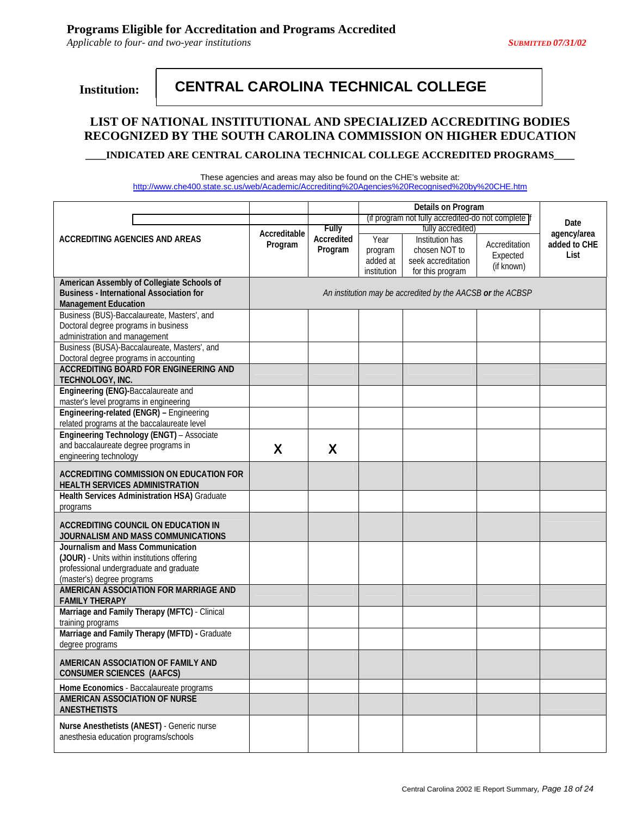*Applicable to four- and two-year institutions SUBMITTED 07/31/02* 

 **Institution:** 

## **CENTRAL CAROLINA TECHNICAL COLLEGE**

## **LIST OF NATIONAL INSTITUTIONAL AND SPECIALIZED ACCREDITING BODIES RECOGNIZED BY THE SOUTH CAROLINA COMMISSION ON HIGHER EDUCATION**

Ī

**\_\_\_\_INDICATED ARE CENTRAL CAROLINA TECHNICAL COLLEGE ACCREDITED PROGRAMS\_\_\_\_** 

These agencies and areas may also be found on the CHE's website at: http://www.che400.state.sc.us/web/Academic/Accrediting%20Agencies%20Recognised%20by%20CHE.htm

|                                                                                               | Accreditable<br>Program | <b>Fully</b><br>Accredited<br>Program | (if program not fully accredited-do not complete if | Date<br>agency/area                                                        |                                         |                      |
|-----------------------------------------------------------------------------------------------|-------------------------|---------------------------------------|-----------------------------------------------------|----------------------------------------------------------------------------|-----------------------------------------|----------------------|
| <b>ACCREDITING AGENCIES AND AREAS</b>                                                         |                         |                                       | Year<br>program<br>added at<br>institution          | Institution has<br>chosen NOT to<br>seek accreditation<br>for this program | Accreditation<br>Expected<br>(if known) | added to CHE<br>List |
| American Assembly of Collegiate Schools of<br><b>Business - International Association for</b> |                         |                                       |                                                     | An institution may be accredited by the AACSB or the ACBSP                 |                                         |                      |
| <b>Management Education</b>                                                                   |                         |                                       |                                                     |                                                                            |                                         |                      |
| Business (BUS)-Baccalaureate, Masters', and                                                   |                         |                                       |                                                     |                                                                            |                                         |                      |
| Doctoral degree programs in business                                                          |                         |                                       |                                                     |                                                                            |                                         |                      |
| administration and management                                                                 |                         |                                       |                                                     |                                                                            |                                         |                      |
| Business (BUSA)-Baccalaureate, Masters', and<br>Doctoral degree programs in accounting        |                         |                                       |                                                     |                                                                            |                                         |                      |
| <b>ACCREDITING BOARD FOR ENGINEERING AND</b>                                                  |                         |                                       |                                                     |                                                                            |                                         |                      |
| TECHNOLOGY, INC.                                                                              |                         |                                       |                                                     |                                                                            |                                         |                      |
| Engineering (ENG)-Baccalaureate and                                                           |                         |                                       |                                                     |                                                                            |                                         |                      |
| master's level programs in engineering                                                        |                         |                                       |                                                     |                                                                            |                                         |                      |
| Engineering-related (ENGR) - Engineering<br>related programs at the baccalaureate level       |                         |                                       |                                                     |                                                                            |                                         |                      |
| Engineering Technology (ENGT) - Associate                                                     |                         |                                       |                                                     |                                                                            |                                         |                      |
| and baccalaureate degree programs in                                                          | X                       | X                                     |                                                     |                                                                            |                                         |                      |
| engineering technology                                                                        |                         |                                       |                                                     |                                                                            |                                         |                      |
|                                                                                               |                         |                                       |                                                     |                                                                            |                                         |                      |
| ACCREDITING COMMISSION ON EDUCATION FOR                                                       |                         |                                       |                                                     |                                                                            |                                         |                      |
| <b>HEALTH SERVICES ADMINISTRATION</b>                                                         |                         |                                       |                                                     |                                                                            |                                         |                      |
| Health Services Administration HSA) Graduate                                                  |                         |                                       |                                                     |                                                                            |                                         |                      |
| programs                                                                                      |                         |                                       |                                                     |                                                                            |                                         |                      |
| <b>ACCREDITING COUNCIL ON EDUCATION IN</b><br>JOURNALISM AND MASS COMMUNICATIONS              |                         |                                       |                                                     |                                                                            |                                         |                      |
| Journalism and Mass Communication                                                             |                         |                                       |                                                     |                                                                            |                                         |                      |
| (JOUR) - Units within institutions offering                                                   |                         |                                       |                                                     |                                                                            |                                         |                      |
| professional undergraduate and graduate                                                       |                         |                                       |                                                     |                                                                            |                                         |                      |
| (master's) degree programs                                                                    |                         |                                       |                                                     |                                                                            |                                         |                      |
| AMERICAN ASSOCIATION FOR MARRIAGE AND<br><b>FAMILY THERAPY</b>                                |                         |                                       |                                                     |                                                                            |                                         |                      |
| Marriage and Family Therapy (MFTC) - Clinical<br>training programs                            |                         |                                       |                                                     |                                                                            |                                         |                      |
| Marriage and Family Therapy (MFTD) - Graduate<br>degree programs                              |                         |                                       |                                                     |                                                                            |                                         |                      |
|                                                                                               |                         |                                       |                                                     |                                                                            |                                         |                      |
| AMERICAN ASSOCIATION OF FAMILY AND<br><b>CONSUMER SCIENCES (AAFCS)</b>                        |                         |                                       |                                                     |                                                                            |                                         |                      |
| Home Economics - Baccalaureate programs                                                       |                         |                                       |                                                     |                                                                            |                                         |                      |
| AMERICAN ASSOCIATION OF NURSE<br><b>ANESTHETISTS</b>                                          |                         |                                       |                                                     |                                                                            |                                         |                      |
| Nurse Anesthetists (ANEST) - Generic nurse                                                    |                         |                                       |                                                     |                                                                            |                                         |                      |
| anesthesia education programs/schools                                                         |                         |                                       |                                                     |                                                                            |                                         |                      |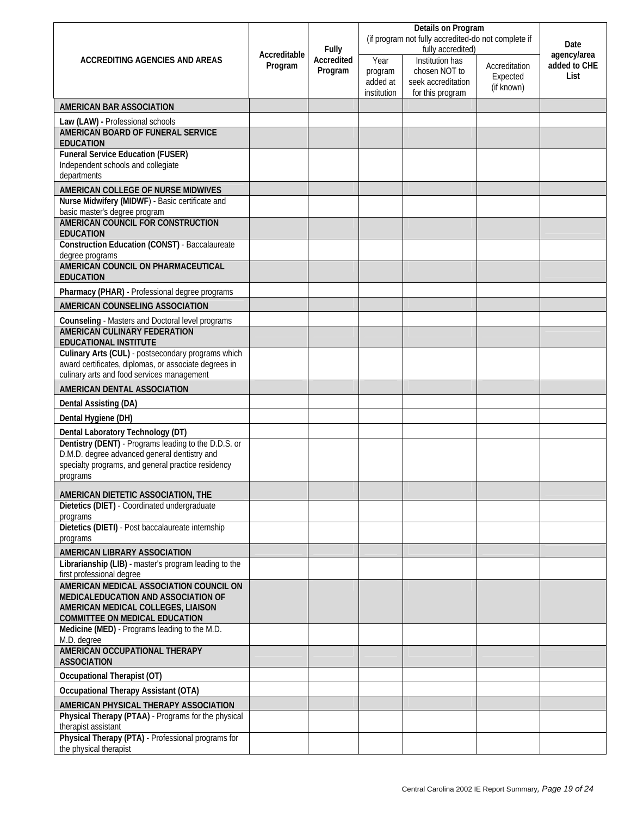|                                                                                                     | Accreditable | <b>Fully</b>      |                                                     |                                      |                           |                      |
|-----------------------------------------------------------------------------------------------------|--------------|-------------------|-----------------------------------------------------|--------------------------------------|---------------------------|----------------------|
|                                                                                                     |              |                   | (if program not fully accredited-do not complete if | Date                                 |                           |                      |
| ACCREDITING AGENCIES AND AREAS                                                                      |              | <b>Accredited</b> | Year                                                | fully accredited)<br>Institution has |                           | agency/area          |
|                                                                                                     | Program      | Program           | program                                             | chosen NOT to                        | Accreditation<br>Expected | added to CHE<br>List |
|                                                                                                     |              |                   | added at                                            | seek accreditation                   | (if known)                |                      |
|                                                                                                     |              |                   | institution                                         | for this program                     |                           |                      |
| <b>AMERICAN BAR ASSOCIATION</b>                                                                     |              |                   |                                                     |                                      |                           |                      |
| Law (LAW) - Professional schools<br><b>AMERICAN BOARD OF FUNERAL SERVICE</b>                        |              |                   |                                                     |                                      |                           |                      |
| <b>EDUCATION</b>                                                                                    |              |                   |                                                     |                                      |                           |                      |
| <b>Funeral Service Education (FUSER)</b>                                                            |              |                   |                                                     |                                      |                           |                      |
| Independent schools and collegiate<br>departments                                                   |              |                   |                                                     |                                      |                           |                      |
| AMERICAN COLLEGE OF NURSE MIDWIVES                                                                  |              |                   |                                                     |                                      |                           |                      |
| Nurse Midwifery (MIDWF) - Basic certificate and                                                     |              |                   |                                                     |                                      |                           |                      |
| basic master's degree program<br><b>AMERICAN COUNCIL FOR CONSTRUCTION</b>                           |              |                   |                                                     |                                      |                           |                      |
| <b>EDUCATION</b>                                                                                    |              |                   |                                                     |                                      |                           |                      |
| <b>Construction Education (CONST)</b> - Baccalaureate<br>degree programs                            |              |                   |                                                     |                                      |                           |                      |
| AMERICAN COUNCIL ON PHARMACEUTICAL                                                                  |              |                   |                                                     |                                      |                           |                      |
| <b>EDUCATION</b>                                                                                    |              |                   |                                                     |                                      |                           |                      |
| <b>Pharmacy (PHAR)</b> - Professional degree programs                                               |              |                   |                                                     |                                      |                           |                      |
| AMERICAN COUNSELING ASSOCIATION                                                                     |              |                   |                                                     |                                      |                           |                      |
| Counseling - Masters and Doctoral level programs                                                    |              |                   |                                                     |                                      |                           |                      |
| <b>AMERICAN CULINARY FEDERATION</b><br><b>EDUCATIONAL INSTITUTE</b>                                 |              |                   |                                                     |                                      |                           |                      |
| Culinary Arts (CUL) - postsecondary programs which                                                  |              |                   |                                                     |                                      |                           |                      |
| award certificates, diplomas, or associate degrees in<br>culinary arts and food services management |              |                   |                                                     |                                      |                           |                      |
|                                                                                                     |              |                   |                                                     |                                      |                           |                      |
| AMERICAN DENTAL ASSOCIATION                                                                         |              |                   |                                                     |                                      |                           |                      |
| Dental Assisting (DA)                                                                               |              |                   |                                                     |                                      |                           |                      |
| Dental Hygiene (DH)                                                                                 |              |                   |                                                     |                                      |                           |                      |
| Dental Laboratory Technology (DT)<br>Dentistry (DENT) - Programs leading to the D.D.S. or           |              |                   |                                                     |                                      |                           |                      |
| D.M.D. degree advanced general dentistry and                                                        |              |                   |                                                     |                                      |                           |                      |
| specialty programs, and general practice residency                                                  |              |                   |                                                     |                                      |                           |                      |
| programs                                                                                            |              |                   |                                                     |                                      |                           |                      |
| AMERICAN DIETETIC ASSOCIATION, THE                                                                  |              |                   |                                                     |                                      |                           |                      |
| Dietetics (DIET) - Coordinated undergraduate                                                        |              |                   |                                                     |                                      |                           |                      |
| programs<br>Dietetics (DIETI) - Post baccalaureate internship                                       |              |                   |                                                     |                                      |                           |                      |
| programs                                                                                            |              |                   |                                                     |                                      |                           |                      |
| <b>AMERICAN LIBRARY ASSOCIATION</b>                                                                 |              |                   |                                                     |                                      |                           |                      |
| Librarianship (LIB) - master's program leading to the<br>first professional degree                  |              |                   |                                                     |                                      |                           |                      |
| AMERICAN MEDICAL ASSOCIATION COUNCIL ON                                                             |              |                   |                                                     |                                      |                           |                      |
| <b>MEDICALEDUCATION AND ASSOCIATION OF</b>                                                          |              |                   |                                                     |                                      |                           |                      |
| AMERICAN MEDICAL COLLEGES, LIAISON<br><b>COMMITTEE ON MEDICAL EDUCATION</b>                         |              |                   |                                                     |                                      |                           |                      |
| Medicine (MED) - Programs leading to the M.D.<br>M.D. degree                                        |              |                   |                                                     |                                      |                           |                      |
| <b>AMERICAN OCCUPATIONAL THERAPY</b><br><b>ASSOCIATION</b>                                          |              |                   |                                                     |                                      |                           |                      |
| <b>Occupational Therapist (OT)</b>                                                                  |              |                   |                                                     |                                      |                           |                      |
| <b>Occupational Therapy Assistant (OTA)</b>                                                         |              |                   |                                                     |                                      |                           |                      |
| AMERICAN PHYSICAL THERAPY ASSOCIATION                                                               |              |                   |                                                     |                                      |                           |                      |
| Physical Therapy (PTAA) - Programs for the physical<br>therapist assistant                          |              |                   |                                                     |                                      |                           |                      |
| Physical Therapy (PTA) - Professional programs for                                                  |              |                   |                                                     |                                      |                           |                      |
| the physical therapist                                                                              |              |                   |                                                     |                                      |                           |                      |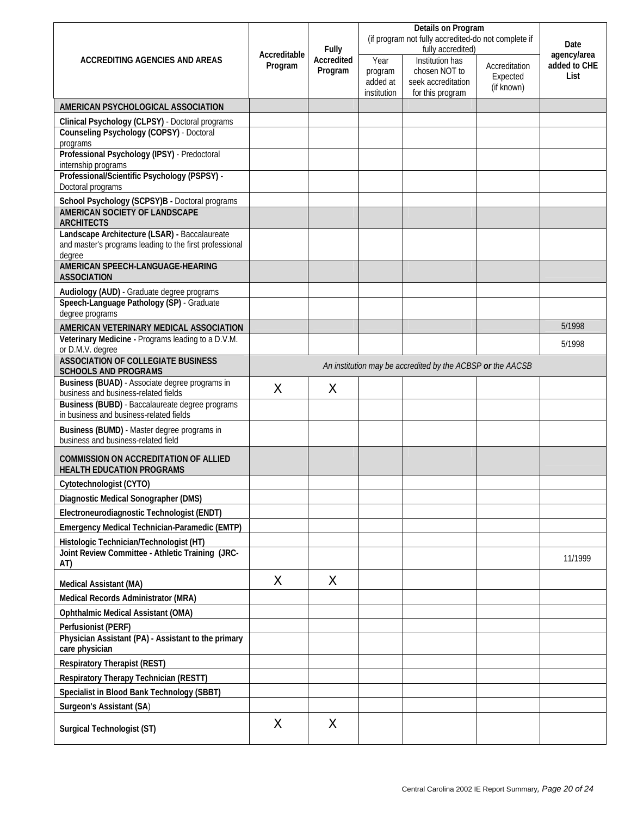|                                                                                                    | Accreditable | <b>Fully</b><br>Accredited<br>Program |                                                     |                                                            |                           |                             |
|----------------------------------------------------------------------------------------------------|--------------|---------------------------------------|-----------------------------------------------------|------------------------------------------------------------|---------------------------|-----------------------------|
|                                                                                                    |              |                                       | (if program not fully accredited-do not complete if | Date                                                       |                           |                             |
| <b>ACCREDITING AGENCIES AND AREAS</b>                                                              |              |                                       | Year                                                | fully accredited)<br>Institution has                       |                           | agency/area<br>added to CHE |
|                                                                                                    | Program      |                                       | program                                             | chosen NOT to                                              | Accreditation<br>Expected | List                        |
|                                                                                                    |              |                                       | added at<br>institution                             | seek accreditation<br>for this program                     | (if known)                |                             |
|                                                                                                    |              |                                       |                                                     |                                                            |                           |                             |
| AMERICAN PSYCHOLOGICAL ASSOCIATION                                                                 |              |                                       |                                                     |                                                            |                           |                             |
| Clinical Psychology (CLPSY) - Doctoral programs<br><b>Counseling Psychology (COPSY) - Doctoral</b> |              |                                       |                                                     |                                                            |                           |                             |
| programs                                                                                           |              |                                       |                                                     |                                                            |                           |                             |
| Professional Psychology (IPSY) - Predoctoral<br>internship programs                                |              |                                       |                                                     |                                                            |                           |                             |
| Professional/Scientific Psychology (PSPSY) -                                                       |              |                                       |                                                     |                                                            |                           |                             |
| Doctoral programs                                                                                  |              |                                       |                                                     |                                                            |                           |                             |
| School Psychology (SCPSY)B - Doctoral programs<br><b>AMERICAN SOCIETY OF LANDSCAPE</b>             |              |                                       |                                                     |                                                            |                           |                             |
| <b>ARCHITECTS</b>                                                                                  |              |                                       |                                                     |                                                            |                           |                             |
| Landscape Architecture (LSAR) - Baccalaureate                                                      |              |                                       |                                                     |                                                            |                           |                             |
| and master's programs leading to the first professional                                            |              |                                       |                                                     |                                                            |                           |                             |
| degree<br>AMERICAN SPEECH-LANGUAGE-HEARING                                                         |              |                                       |                                                     |                                                            |                           |                             |
| <b>ASSOCIATION</b>                                                                                 |              |                                       |                                                     |                                                            |                           |                             |
| Audiology (AUD) - Graduate degree programs                                                         |              |                                       |                                                     |                                                            |                           |                             |
| Speech-Language Pathology (SP) - Graduate<br>degree programs                                       |              |                                       |                                                     |                                                            |                           |                             |
| AMERICAN VETERINARY MEDICAL ASSOCIATION                                                            |              |                                       |                                                     |                                                            |                           | 5/1998                      |
| Veterinary Medicine - Programs leading to a D.V.M.                                                 |              |                                       |                                                     |                                                            |                           | 5/1998                      |
| or D.M.V. degree<br><b>ASSOCIATION OF COLLEGIATE BUSINESS</b>                                      |              |                                       |                                                     |                                                            |                           |                             |
| <b>SCHOOLS AND PROGRAMS</b>                                                                        |              |                                       |                                                     | An institution may be accredited by the ACBSP or the AACSB |                           |                             |
| Business (BUAD) - Associate degree programs in                                                     | X            | $\times$                              |                                                     |                                                            |                           |                             |
| business and business-related fields                                                               |              |                                       |                                                     |                                                            |                           |                             |
| Business (BUBD) - Baccalaureate degree programs<br>in business and business-related fields         |              |                                       |                                                     |                                                            |                           |                             |
| Business (BUMD) - Master degree programs in<br>business and business-related field                 |              |                                       |                                                     |                                                            |                           |                             |
| <b>COMMISSION ON ACCREDITATION OF ALLIED</b><br><b>HEALTH EDUCATION PROGRAMS</b>                   |              |                                       |                                                     |                                                            |                           |                             |
| Cytotechnologist (CYTO)                                                                            |              |                                       |                                                     |                                                            |                           |                             |
| Diagnostic Medical Sonographer (DMS)                                                               |              |                                       |                                                     |                                                            |                           |                             |
| Electroneurodiagnostic Technologist (ENDT)                                                         |              |                                       |                                                     |                                                            |                           |                             |
| Emergency Medical Technician-Paramedic (EMTP)                                                      |              |                                       |                                                     |                                                            |                           |                             |
| Histologic Technician/Technologist (HT)                                                            |              |                                       |                                                     |                                                            |                           |                             |
| Joint Review Committee - Athletic Training (JRC-<br>AT)                                            |              |                                       |                                                     |                                                            |                           | 11/1999                     |
| <b>Medical Assistant (MA)</b>                                                                      | X            | X                                     |                                                     |                                                            |                           |                             |
| Medical Records Administrator (MRA)                                                                |              |                                       |                                                     |                                                            |                           |                             |
| <b>Ophthalmic Medical Assistant (OMA)</b>                                                          |              |                                       |                                                     |                                                            |                           |                             |
| Perfusionist (PERF)                                                                                |              |                                       |                                                     |                                                            |                           |                             |
| Physician Assistant (PA) - Assistant to the primary                                                |              |                                       |                                                     |                                                            |                           |                             |
| care physician                                                                                     |              |                                       |                                                     |                                                            |                           |                             |
| <b>Respiratory Therapist (REST)</b>                                                                |              |                                       |                                                     |                                                            |                           |                             |
| Respiratory Therapy Technician (RESTT)                                                             |              |                                       |                                                     |                                                            |                           |                             |
| Specialist in Blood Bank Technology (SBBT)                                                         |              |                                       |                                                     |                                                            |                           |                             |
| <b>Surgeon's Assistant (SA)</b>                                                                    |              |                                       |                                                     |                                                            |                           |                             |
|                                                                                                    | X            | X                                     |                                                     |                                                            |                           |                             |
| Surgical Technologist (ST)                                                                         |              |                                       |                                                     |                                                            |                           |                             |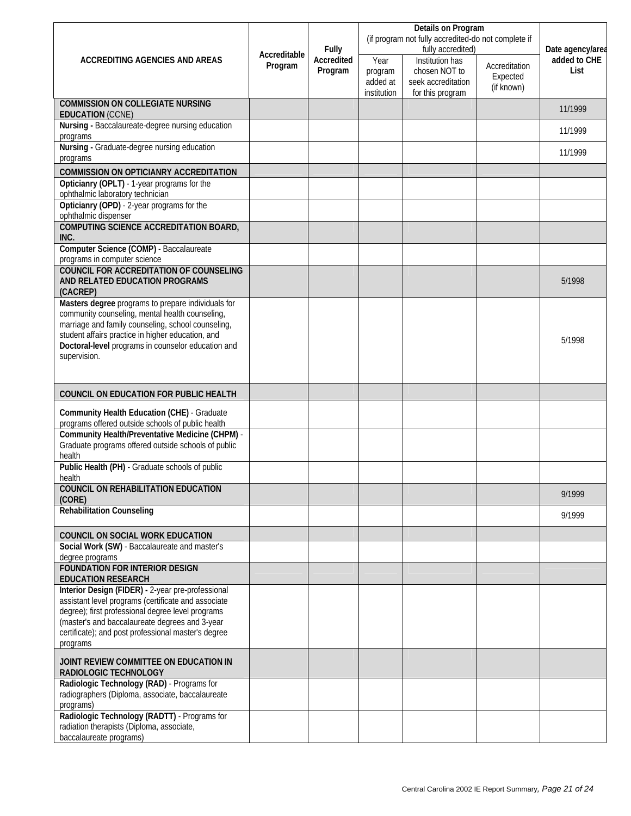|                                                                                                             |              |                            |             | (if program not fully accredited-do not complete if |               |                                  |
|-------------------------------------------------------------------------------------------------------------|--------------|----------------------------|-------------|-----------------------------------------------------|---------------|----------------------------------|
| ACCREDITING AGENCIES AND AREAS                                                                              | Accreditable | <b>Fully</b><br>Accredited | Year        | fully accredited)<br>Institution has                |               | Date agency/area<br>added to CHE |
|                                                                                                             | Program      | Program                    | program     | chosen NOT to                                       | Accreditation | List                             |
|                                                                                                             |              |                            | added at    | seek accreditation                                  | Expected      |                                  |
|                                                                                                             |              |                            | institution | for this program                                    | (if known)    |                                  |
| <b>COMMISSION ON COLLEGIATE NURSING</b><br><b>EDUCATION (CCNE)</b>                                          |              |                            |             |                                                     |               | 11/1999                          |
| Nursing - Baccalaureate-degree nursing education<br>programs                                                |              |                            |             |                                                     |               | 11/1999                          |
| Nursing - Graduate-degree nursing education<br>programs                                                     |              |                            |             |                                                     |               | 11/1999                          |
| <b>COMMISSION ON OPTICIANRY ACCREDITATION</b>                                                               |              |                            |             |                                                     |               |                                  |
| Opticianry (OPLT) - 1-year programs for the                                                                 |              |                            |             |                                                     |               |                                  |
| ophthalmic laboratory technician                                                                            |              |                            |             |                                                     |               |                                  |
| Opticianry (OPD) - 2-year programs for the<br>ophthalmic dispenser                                          |              |                            |             |                                                     |               |                                  |
| <b>COMPUTING SCIENCE ACCREDITATION BOARD,</b><br>INC.                                                       |              |                            |             |                                                     |               |                                  |
| Computer Science (COMP) - Baccalaureate                                                                     |              |                            |             |                                                     |               |                                  |
| programs in computer science                                                                                |              |                            |             |                                                     |               |                                  |
| <b>COUNCIL FOR ACCREDITATION OF COUNSELING</b>                                                              |              |                            |             |                                                     |               |                                  |
| AND RELATED EDUCATION PROGRAMS<br>(CACREP)                                                                  |              |                            |             |                                                     |               | 5/1998                           |
| Masters degree programs to prepare individuals for                                                          |              |                            |             |                                                     |               |                                  |
| community counseling, mental health counseling,                                                             |              |                            |             |                                                     |               |                                  |
| marriage and family counseling, school counseling,<br>student affairs practice in higher education, and     |              |                            |             |                                                     |               |                                  |
| Doctoral-level programs in counselor education and                                                          |              |                            |             |                                                     |               | 5/1998                           |
| supervision.                                                                                                |              |                            |             |                                                     |               |                                  |
|                                                                                                             |              |                            |             |                                                     |               |                                  |
| <b>COUNCIL ON EDUCATION FOR PUBLIC HEALTH</b>                                                               |              |                            |             |                                                     |               |                                  |
|                                                                                                             |              |                            |             |                                                     |               |                                  |
| <b>Community Health Education (CHE)</b> - Graduate                                                          |              |                            |             |                                                     |               |                                  |
| programs offered outside schools of public health<br><b>Community Health/Preventative Medicine (CHPM) -</b> |              |                            |             |                                                     |               |                                  |
| Graduate programs offered outside schools of public                                                         |              |                            |             |                                                     |               |                                  |
| health                                                                                                      |              |                            |             |                                                     |               |                                  |
| Public Health (PH) - Graduate schools of public<br>health                                                   |              |                            |             |                                                     |               |                                  |
| <b>COUNCIL ON REHABILITATION EDUCATION</b>                                                                  |              |                            |             |                                                     |               | 9/1999                           |
| (CORE)<br><b>Rehabilitation Counseling</b>                                                                  |              |                            |             |                                                     |               |                                  |
|                                                                                                             |              |                            |             |                                                     |               | 9/1999                           |
| <b>COUNCIL ON SOCIAL WORK EDUCATION</b>                                                                     |              |                            |             |                                                     |               |                                  |
| Social Work (SW) - Baccalaureate and master's<br>degree programs                                            |              |                            |             |                                                     |               |                                  |
| <b>FOUNDATION FOR INTERIOR DESIGN</b><br><b>EDUCATION RESEARCH</b>                                          |              |                            |             |                                                     |               |                                  |
| Interior Design (FIDER) - 2-year pre-professional                                                           |              |                            |             |                                                     |               |                                  |
| assistant level programs (certificate and associate                                                         |              |                            |             |                                                     |               |                                  |
| degree); first professional degree level programs                                                           |              |                            |             |                                                     |               |                                  |
| (master's and baccalaureate degrees and 3-year<br>certificate); and post professional master's degree       |              |                            |             |                                                     |               |                                  |
| programs                                                                                                    |              |                            |             |                                                     |               |                                  |
| JOINT REVIEW COMMITTEE ON EDUCATION IN<br>RADIOLOGIC TECHNOLOGY                                             |              |                            |             |                                                     |               |                                  |
| Radiologic Technology (RAD) - Programs for                                                                  |              |                            |             |                                                     |               |                                  |
| radiographers (Diploma, associate, baccalaureate<br>programs)                                               |              |                            |             |                                                     |               |                                  |
| Radiologic Technology (RADTT) - Programs for                                                                |              |                            |             |                                                     |               |                                  |
| radiation therapists (Diploma, associate,                                                                   |              |                            |             |                                                     |               |                                  |
| baccalaureate programs)                                                                                     |              |                            |             |                                                     |               |                                  |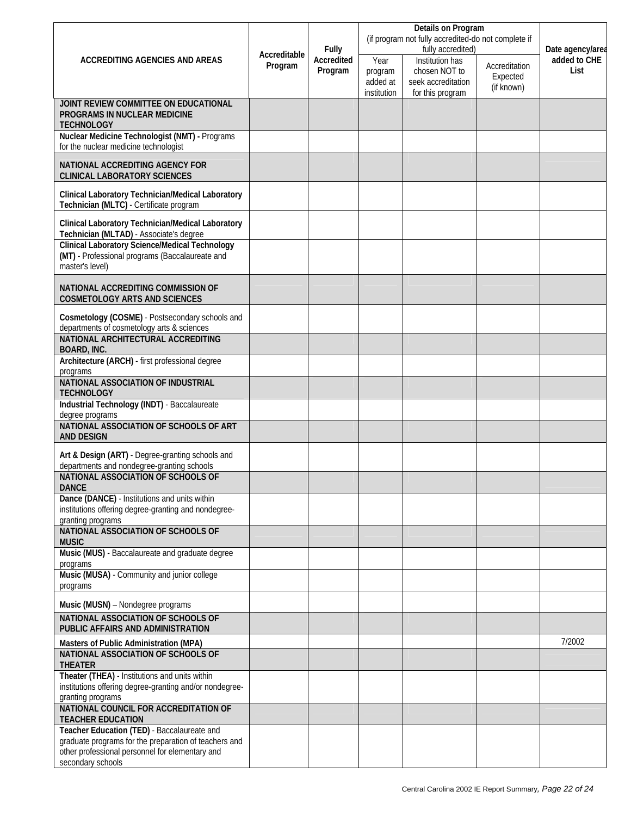|                                                                                                                             | Accreditable<br>Program |                   |                                                                          | Details on Program                  |              |                  |
|-----------------------------------------------------------------------------------------------------------------------------|-------------------------|-------------------|--------------------------------------------------------------------------|-------------------------------------|--------------|------------------|
|                                                                                                                             |                         | <b>Fully</b>      | (if program not fully accredited-do not complete if<br>fully accredited) |                                     |              | Date agency/area |
| <b>ACCREDITING AGENCIES AND AREAS</b>                                                                                       |                         | <b>Accredited</b> | Institution has<br>Year                                                  | Accreditation                       | added to CHE |                  |
|                                                                                                                             |                         | Program           | program<br>added at                                                      | chosen NOT to<br>seek accreditation | Expected     | List             |
|                                                                                                                             |                         |                   | institution                                                              | for this program                    | (if known)   |                  |
| JOINT REVIEW COMMITTEE ON EDUCATIONAL<br>PROGRAMS IN NUCLEAR MEDICINE                                                       |                         |                   |                                                                          |                                     |              |                  |
| <b>TECHNOLOGY</b><br>Nuclear Medicine Technologist (NMT) - Programs                                                         |                         |                   |                                                                          |                                     |              |                  |
| for the nuclear medicine technologist                                                                                       |                         |                   |                                                                          |                                     |              |                  |
| <b>NATIONAL ACCREDITING AGENCY FOR</b><br><b>CLINICAL LABORATORY SCIENCES</b>                                               |                         |                   |                                                                          |                                     |              |                  |
| <b>Clinical Laboratory Technician/Medical Laboratory</b><br>Technician (MLTC) - Certificate program                         |                         |                   |                                                                          |                                     |              |                  |
| Clinical Laboratory Technician/Medical Laboratory<br>Technician (MLTAD) - Associate's degree                                |                         |                   |                                                                          |                                     |              |                  |
| <b>Clinical Laboratory Science/Medical Technology</b><br>(MT) - Professional programs (Baccalaureate and<br>master's level) |                         |                   |                                                                          |                                     |              |                  |
| <b>NATIONAL ACCREDITING COMMISSION OF</b><br><b>COSMETOLOGY ARTS AND SCIENCES</b>                                           |                         |                   |                                                                          |                                     |              |                  |
| Cosmetology (COSME) - Postsecondary schools and                                                                             |                         |                   |                                                                          |                                     |              |                  |
| departments of cosmetology arts & sciences<br><b>NATIONAL ARCHITECTURAL ACCREDITING</b>                                     |                         |                   |                                                                          |                                     |              |                  |
| <b>BOARD, INC.</b><br>Architecture (ARCH) - first professional degree                                                       |                         |                   |                                                                          |                                     |              |                  |
| programs<br>NATIONAL ASSOCIATION OF INDUSTRIAL                                                                              |                         |                   |                                                                          |                                     |              |                  |
| <b>TECHNOLOGY</b>                                                                                                           |                         |                   |                                                                          |                                     |              |                  |
| Industrial Technology (INDT) - Baccalaureate<br>degree programs                                                             |                         |                   |                                                                          |                                     |              |                  |
| NATIONAL ASSOCIATION OF SCHOOLS OF ART<br><b>AND DESIGN</b>                                                                 |                         |                   |                                                                          |                                     |              |                  |
| Art & Design (ART) - Degree-granting schools and<br>departments and nondegree-granting schools                              |                         |                   |                                                                          |                                     |              |                  |
| NATIONAL ASSOCIATION OF SCHOOLS OF<br><b>DANCE</b>                                                                          |                         |                   |                                                                          |                                     |              |                  |
| Dance (DANCE) - Institutions and units within<br>institutions offering degree-granting and nondegree-<br>granting programs  |                         |                   |                                                                          |                                     |              |                  |
| NATIONAL ASSOCIATION OF SCHOOLS OF                                                                                          |                         |                   |                                                                          |                                     |              |                  |
| <b>MUSIC</b><br>Music (MUS) - Baccalaureate and graduate degree                                                             |                         |                   |                                                                          |                                     |              |                  |
| programs<br>Music (MUSA) - Community and junior college                                                                     |                         |                   |                                                                          |                                     |              |                  |
| programs                                                                                                                    |                         |                   |                                                                          |                                     |              |                  |
| Music (MUSN) - Nondegree programs                                                                                           |                         |                   |                                                                          |                                     |              |                  |
| NATIONAL ASSOCIATION OF SCHOOLS OF<br>PUBLIC AFFAIRS AND ADMINISTRATION                                                     |                         |                   |                                                                          |                                     |              |                  |
| Masters of Public Administration (MPA)                                                                                      |                         |                   |                                                                          |                                     |              | 7/2002           |
| NATIONAL ASSOCIATION OF SCHOOLS OF<br><b>THEATER</b>                                                                        |                         |                   |                                                                          |                                     |              |                  |
| Theater (THEA) - Institutions and units within<br>institutions offering degree-granting and/or nondegree-                   |                         |                   |                                                                          |                                     |              |                  |
| granting programs                                                                                                           |                         |                   |                                                                          |                                     |              |                  |
| NATIONAL COUNCIL FOR ACCREDITATION OF<br><b>TEACHER EDUCATION</b>                                                           |                         |                   |                                                                          |                                     |              |                  |
| Teacher Education (TED) - Baccalaureate and<br>graduate programs for the preparation of teachers and                        |                         |                   |                                                                          |                                     |              |                  |
| other professional personnel for elementary and<br>secondary schools                                                        |                         |                   |                                                                          |                                     |              |                  |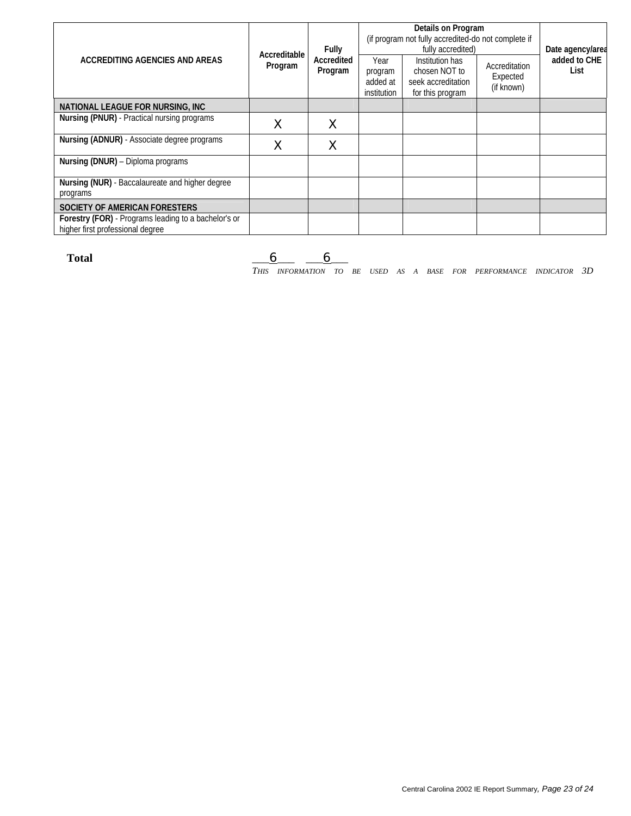|                                                                                          | Accreditable | <b>Fully</b>          | Details on Program<br>(if program not fully accredited-do not complete if<br>fully accredited) |                                                                            |                                         | Date agency/area     |
|------------------------------------------------------------------------------------------|--------------|-----------------------|------------------------------------------------------------------------------------------------|----------------------------------------------------------------------------|-----------------------------------------|----------------------|
| <b>ACCREDITING AGENCIES AND AREAS</b>                                                    | Program      | Accredited<br>Program | Year<br>program<br>added at<br>institution                                                     | Institution has<br>chosen NOT to<br>seek accreditation<br>for this program | Accreditation<br>Expected<br>(if known) | added to CHE<br>List |
| <b>NATIONAL LEAGUE FOR NURSING, INC</b>                                                  |              |                       |                                                                                                |                                                                            |                                         |                      |
| <b>Nursing (PNUR)</b> - Practical nursing programs                                       | X            | $\times$              |                                                                                                |                                                                            |                                         |                      |
| Nursing (ADNUR) - Associate degree programs                                              | Χ            | Χ                     |                                                                                                |                                                                            |                                         |                      |
| Nursing (DNUR) - Diploma programs                                                        |              |                       |                                                                                                |                                                                            |                                         |                      |
| Nursing (NUR) - Baccalaureate and higher degree<br>programs                              |              |                       |                                                                                                |                                                                            |                                         |                      |
| <b>SOCIETY OF AMERICAN FORESTERS</b>                                                     |              |                       |                                                                                                |                                                                            |                                         |                      |
| Forestry (FOR) - Programs leading to a bachelor's or<br>higher first professional degree |              |                       |                                                                                                |                                                                            |                                         |                      |

Total <u>\_\_\_6 \_\_\_ 6 \_</u>

*THIS INFORMATION TO BE USED AS A BASE FOR PERFORMANCE INDICATOR 3D*